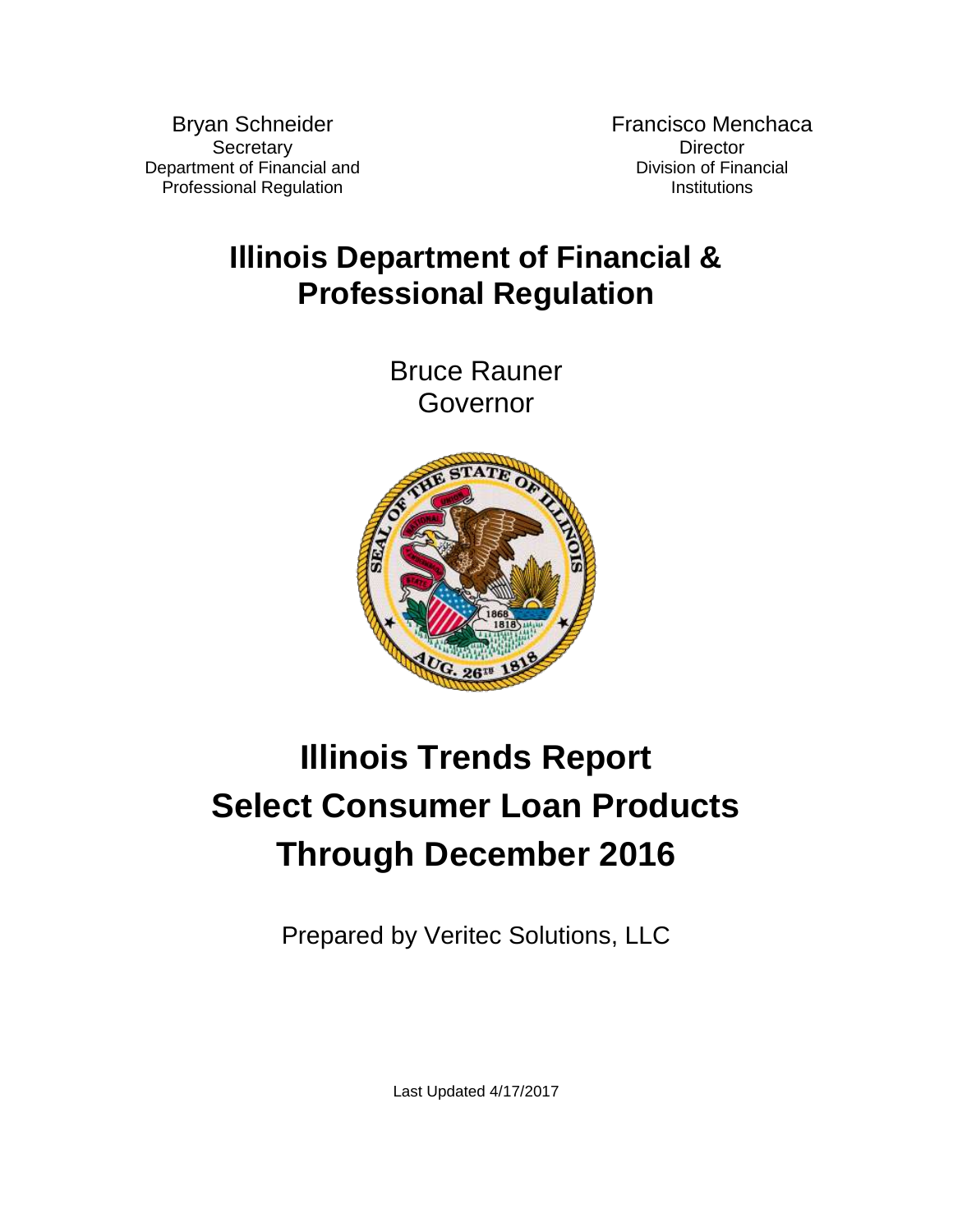Bryan Schneider **Secretary** Department of Financial and Professional Regulation

Francisco Menchaca **Director** Division of Financial **Institutions** 

# **Illinois Department of Financial & Professional Regulation**

Bruce Rauner Governor



# **Illinois Trends Report Select Consumer Loan Products Through December 2016**

Prepared by Veritec Solutions, LLC

Last Updated 4/17/2017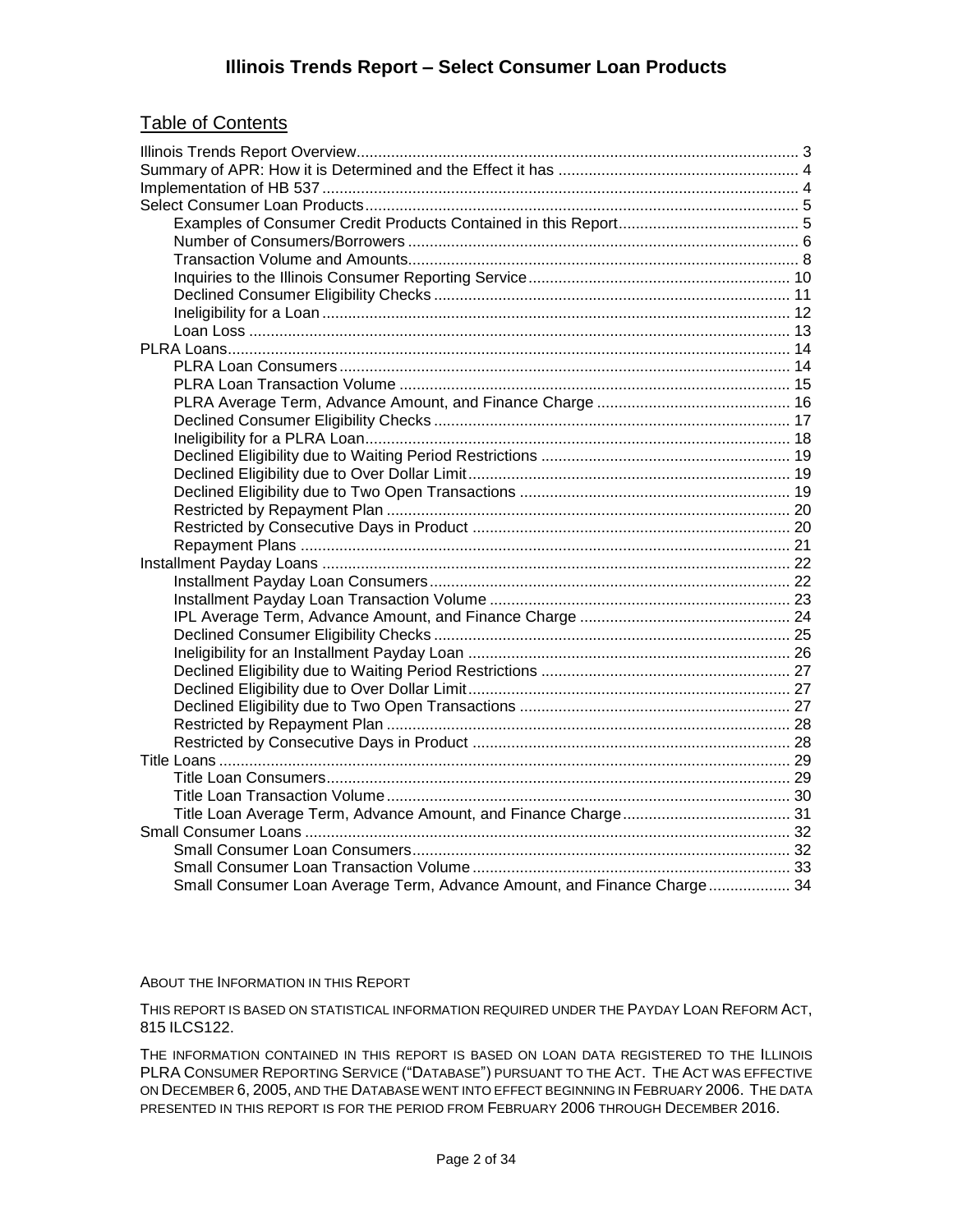#### Table of Contents

| Small Consumer Loan Average Term, Advance Amount, and Finance Charge 34 |  |
|-------------------------------------------------------------------------|--|

#### ABOUT THE INFORMATION IN THIS REPORT

THIS REPORT IS BASED ON STATISTICAL INFORMATION REQUIRED UNDER THE PAYDAY LOAN REFORM ACT, 815 ILCS122.

THE INFORMATION CONTAINED IN THIS REPORT IS BASED ON LOAN DATA REGISTERED TO THE ILLINOIS PLRA CONSUMER REPORTING SERVICE ("DATABASE") PURSUANT TO THE ACT. THE ACT WAS EFFECTIVE ON DECEMBER 6, 2005, AND THE DATABASE WENT INTO EFFECT BEGINNING IN FEBRUARY 2006. THE DATA PRESENTED IN THIS REPORT IS FOR THE PERIOD FROM FEBRUARY 2006 THROUGH DECEMBER 2016.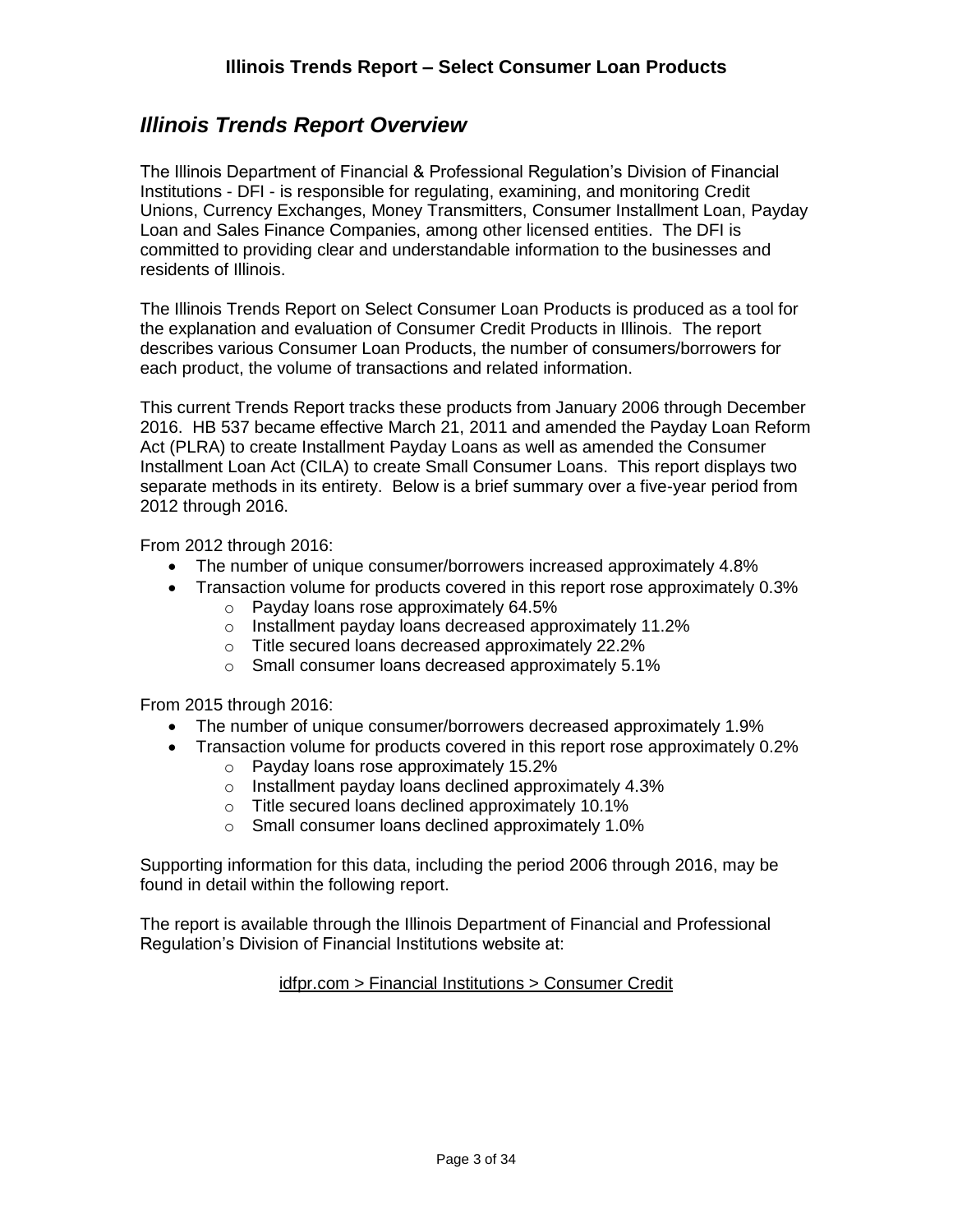#### <span id="page-2-0"></span>*Illinois Trends Report Overview*

The Illinois Department of Financial & Professional Regulation's Division of Financial Institutions - DFI - is responsible for regulating, examining, and monitoring Credit Unions, Currency Exchanges, Money Transmitters, Consumer Installment Loan, Payday Loan and Sales Finance Companies, among other licensed entities. The DFI is committed to providing clear and understandable information to the businesses and residents of Illinois.

The Illinois Trends Report on Select Consumer Loan Products is produced as a tool for the explanation and evaluation of Consumer Credit Products in Illinois. The report describes various Consumer Loan Products, the number of consumers/borrowers for each product, the volume of transactions and related information.

This current Trends Report tracks these products from January 2006 through December 2016. HB 537 became effective March 21, 2011 and amended the Payday Loan Reform Act (PLRA) to create Installment Payday Loans as well as amended the Consumer Installment Loan Act (CILA) to create Small Consumer Loans. This report displays two separate methods in its entirety. Below is a brief summary over a five-year period from 2012 through 2016.

From 2012 through 2016:

- The number of unique consumer/borrowers increased approximately 4.8%
- Transaction volume for products covered in this report rose approximately 0.3% o Payday loans rose approximately 64.5%
	- o Installment payday loans decreased approximately 11.2%
	- o Title secured loans decreased approximately 22.2%
	- o Small consumer loans decreased approximately 5.1%

From 2015 through 2016:

- The number of unique consumer/borrowers decreased approximately 1.9%
- Transaction volume for products covered in this report rose approximately 0.2%
	- o Payday loans rose approximately 15.2%
	- o Installment payday loans declined approximately 4.3%
	- o Title secured loans declined approximately 10.1%
	- o Small consumer loans declined approximately 1.0%

Supporting information for this data, including the period 2006 through 2016, may be found in detail within the following report.

The report is available through the Illinois Department of Financial and Professional Regulation's Division of Financial Institutions website at:

#### idfpr.com > Financial Institutions > Consumer Credit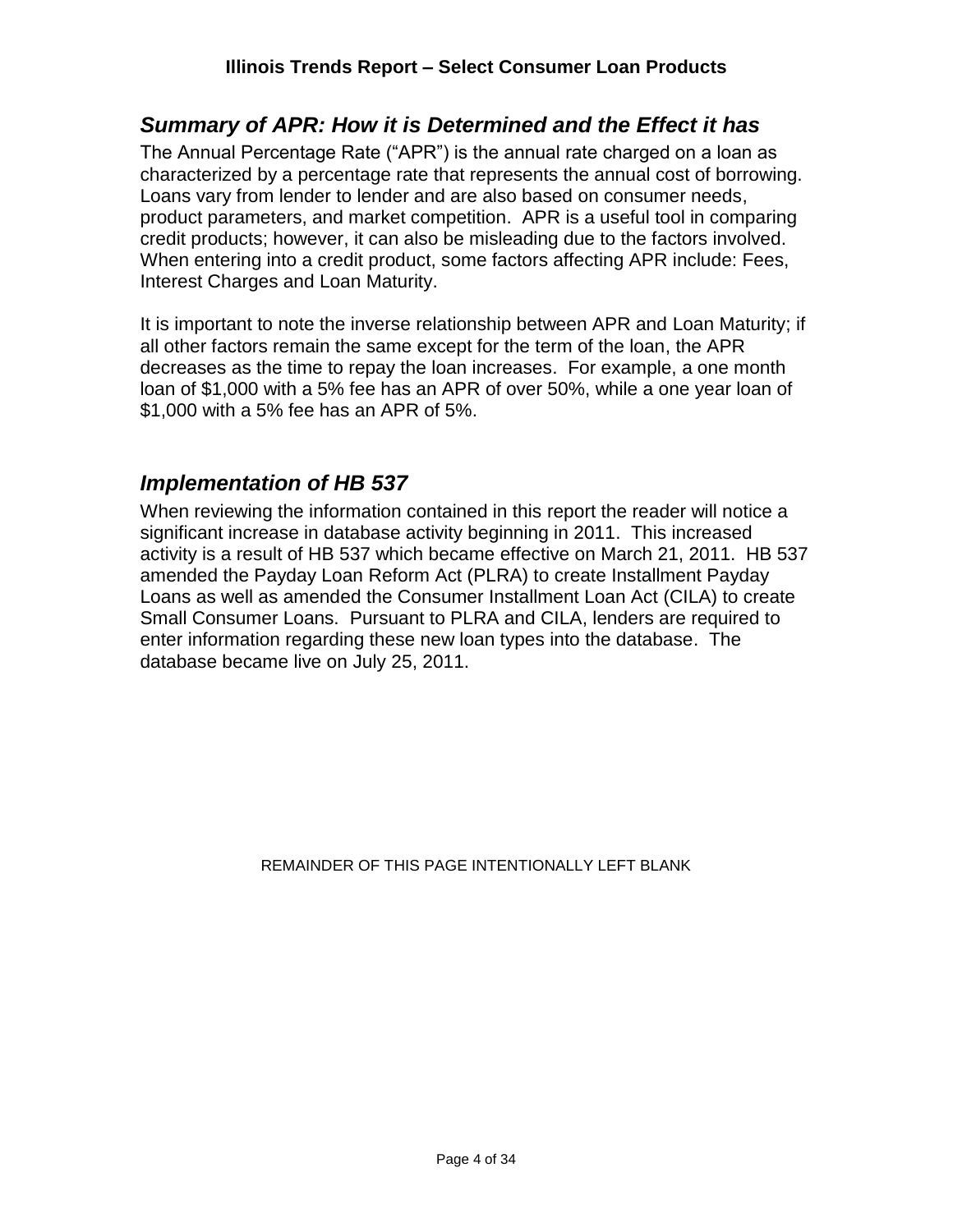#### <span id="page-3-0"></span>*Summary of APR: How it is Determined and the Effect it has*

The Annual Percentage Rate ("APR") is the annual rate charged on a loan as characterized by a percentage rate that represents the annual cost of borrowing. Loans vary from lender to lender and are also based on consumer needs, product parameters, and market competition. APR is a useful tool in comparing credit products; however, it can also be misleading due to the factors involved. When entering into a credit product, some factors affecting APR include: Fees, Interest Charges and Loan Maturity.

It is important to note the inverse relationship between APR and Loan Maturity; if all other factors remain the same except for the term of the loan, the APR decreases as the time to repay the loan increases. For example, a one month loan of \$1,000 with a 5% fee has an APR of over 50%, while a one year loan of \$1,000 with a 5% fee has an APR of 5%.

#### <span id="page-3-1"></span>*Implementation of HB 537*

When reviewing the information contained in this report the reader will notice a significant increase in database activity beginning in 2011. This increased activity is a result of HB 537 which became effective on March 21, 2011. HB 537 amended the Payday Loan Reform Act (PLRA) to create Installment Payday Loans as well as amended the Consumer Installment Loan Act (CILA) to create Small Consumer Loans. Pursuant to PLRA and CILA, lenders are required to enter information regarding these new loan types into the database. The database became live on July 25, 2011.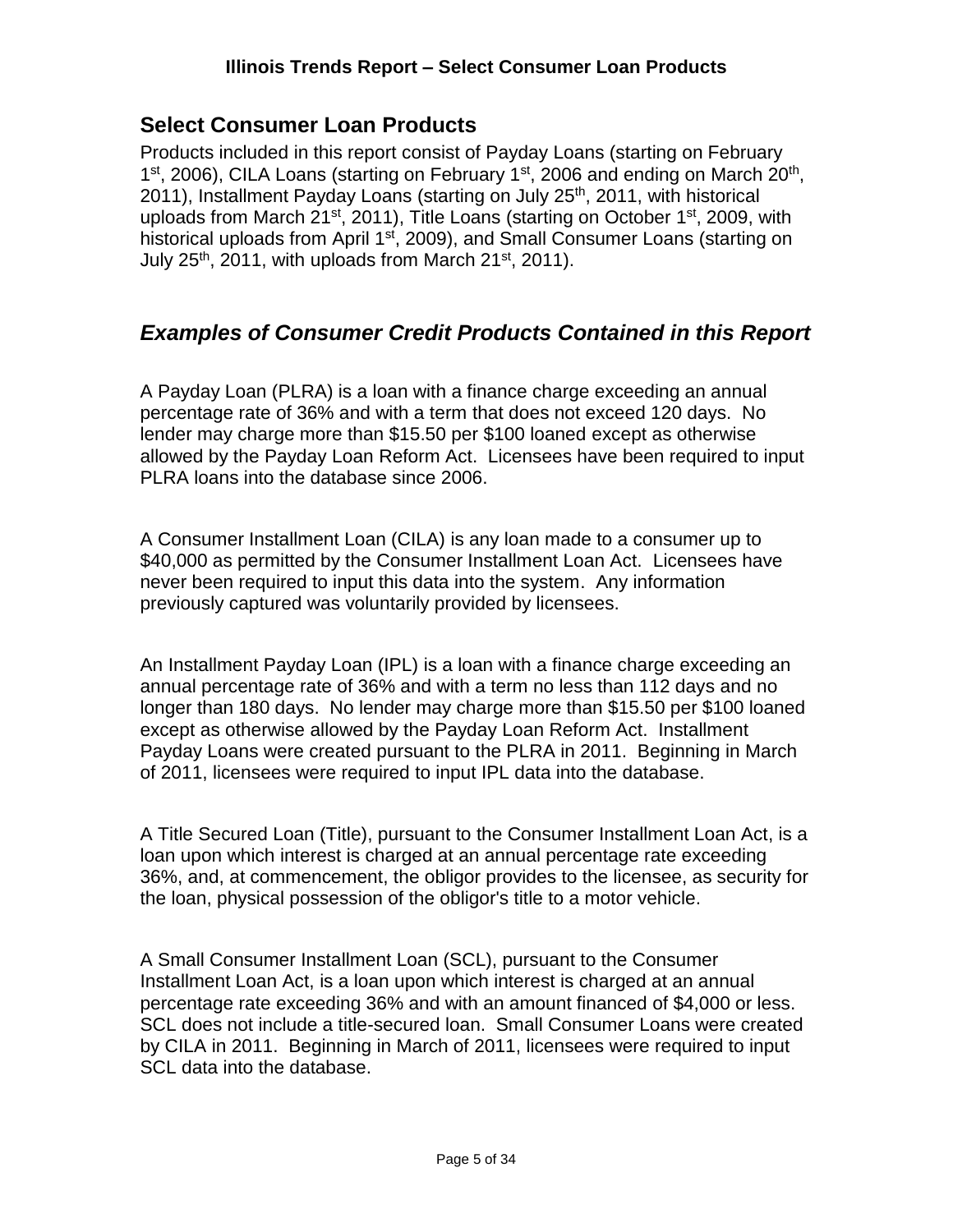#### <span id="page-4-0"></span>**Select Consumer Loan Products**

Products included in this report consist of Payday Loans (starting on February 1<sup>st</sup>, 2006), CILA Loans (starting on February 1<sup>st</sup>, 2006 and ending on March 20<sup>th</sup>, 2011), Installment Payday Loans (starting on July 25<sup>th</sup>, 2011, with historical uploads from March 21<sup>st</sup>, 2011), Title Loans (starting on October 1<sup>st</sup>, 2009, with historical uploads from April 1<sup>st</sup>, 2009), and Small Consumer Loans (starting on July 25<sup>th</sup>, 2011, with uploads from March 21<sup>st</sup>, 2011).

#### <span id="page-4-1"></span>*Examples of Consumer Credit Products Contained in this Report*

A Payday Loan (PLRA) is a loan with a finance charge exceeding an annual percentage rate of 36% and with a term that does not exceed 120 days. No lender may charge more than \$15.50 per \$100 loaned except as otherwise allowed by the Payday Loan Reform Act. Licensees have been required to input PLRA loans into the database since 2006.

A Consumer Installment Loan (CILA) is any loan made to a consumer up to \$40,000 as permitted by the Consumer Installment Loan Act. Licensees have never been required to input this data into the system. Any information previously captured was voluntarily provided by licensees.

An Installment Payday Loan (IPL) is a loan with a finance charge exceeding an annual percentage rate of 36% and with a term no less than 112 days and no longer than 180 days. No lender may charge more than \$15.50 per \$100 loaned except as otherwise allowed by the Payday Loan Reform Act. Installment Payday Loans were created pursuant to the PLRA in 2011. Beginning in March of 2011, licensees were required to input IPL data into the database.

A Title Secured Loan (Title), pursuant to the Consumer Installment Loan Act, is a loan upon which interest is charged at an annual percentage rate exceeding 36%, and, at commencement, the obligor provides to the licensee, as security for the loan, physical possession of the obligor's title to a motor vehicle.

A Small Consumer Installment Loan (SCL), pursuant to the Consumer Installment Loan Act, is a loan upon which interest is charged at an annual percentage rate exceeding 36% and with an amount financed of \$4,000 or less. SCL does not include a title-secured loan. Small Consumer Loans were created by CILA in 2011. Beginning in March of 2011, licensees were required to input SCL data into the database.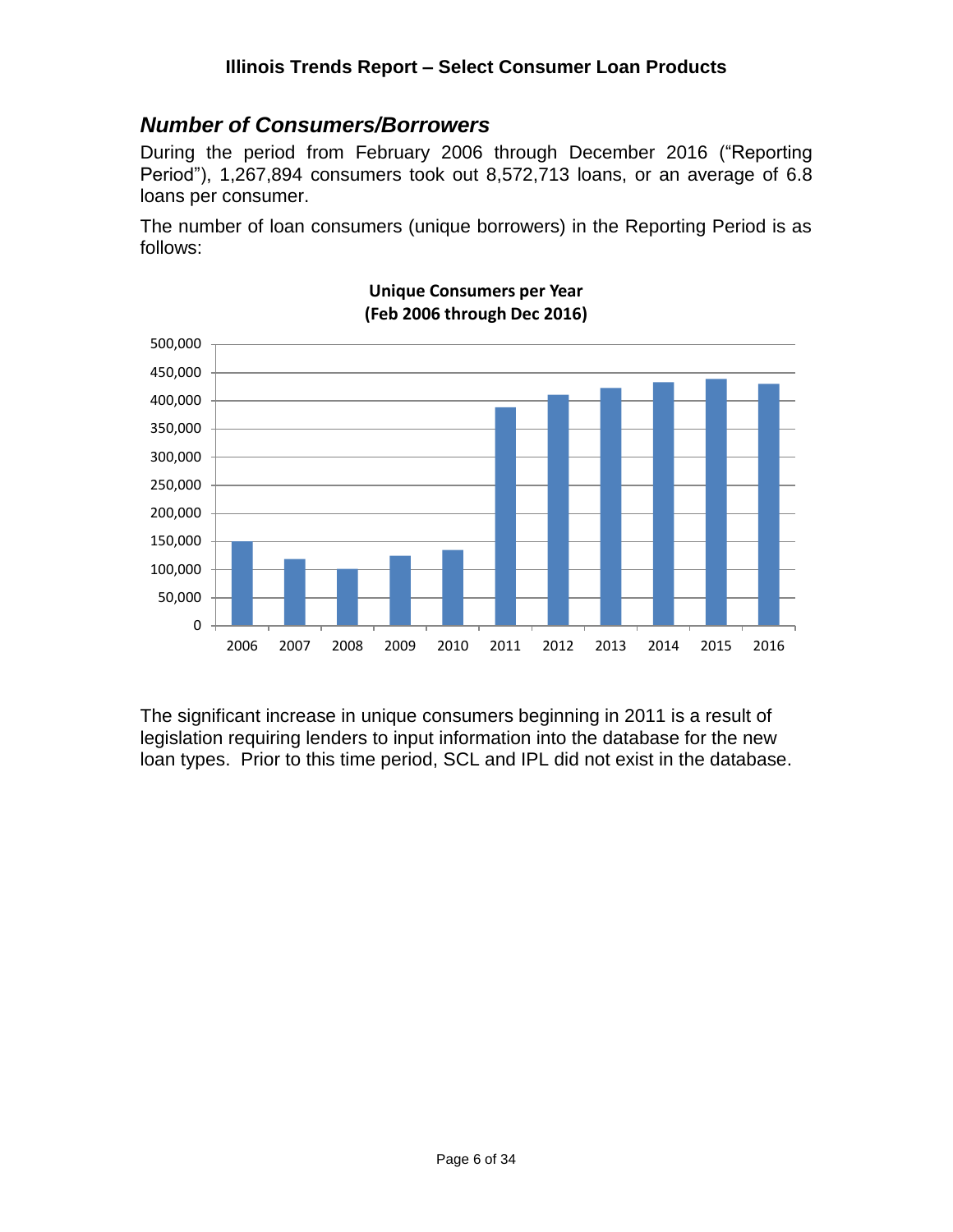#### <span id="page-5-0"></span>*Number of Consumers/Borrowers*

During the period from February 2006 through December 2016 ("Reporting Period"), 1,267,894 consumers took out 8,572,713 loans, or an average of 6.8 loans per consumer.

The number of loan consumers (unique borrowers) in the Reporting Period is as follows:



#### **Unique Consumers per Year (Feb 2006 through Dec 2016)**

The significant increase in unique consumers beginning in 2011 is a result of legislation requiring lenders to input information into the database for the new loan types. Prior to this time period, SCL and IPL did not exist in the database.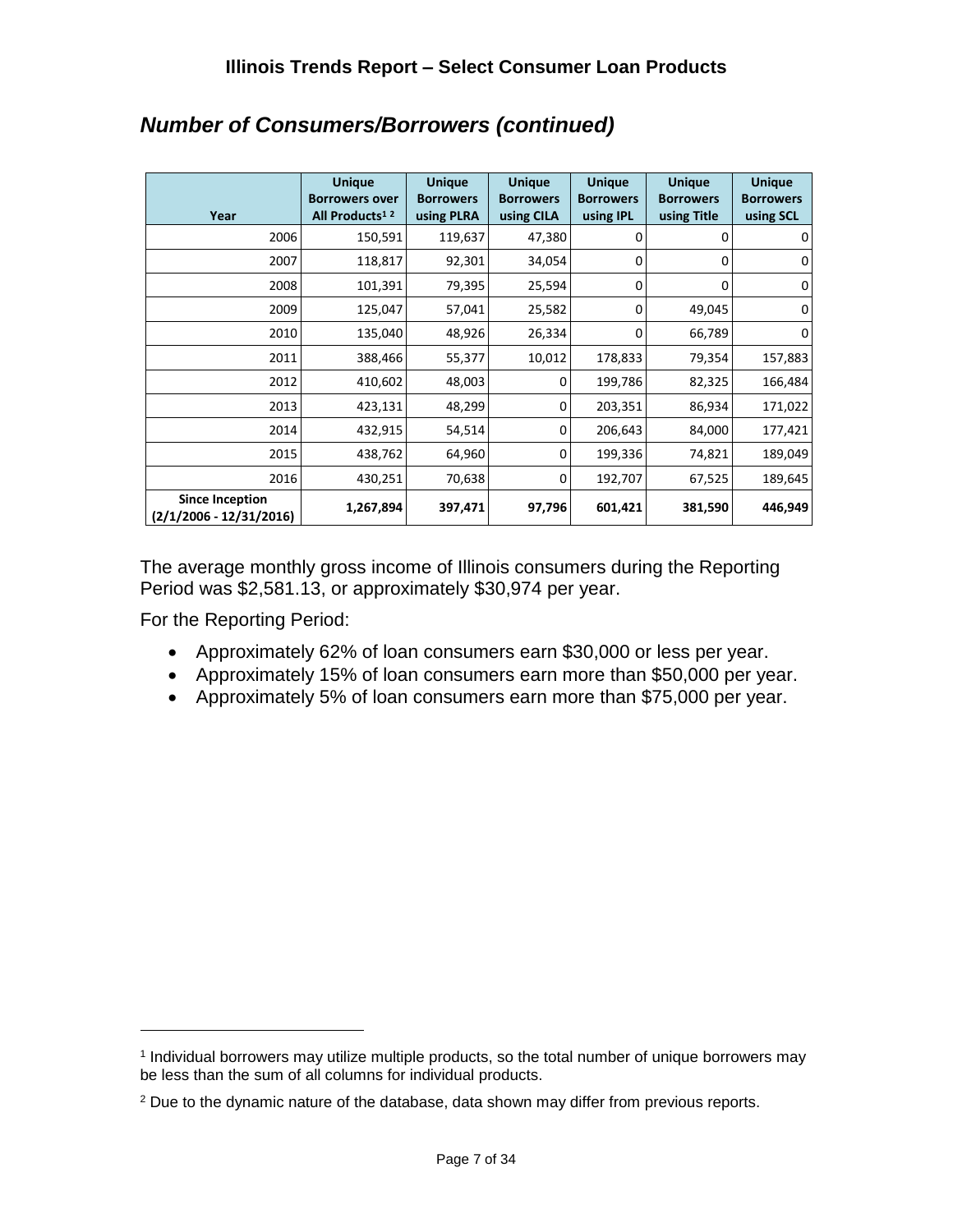| Year                                                | <b>Unique</b><br><b>Borrowers over</b><br>All Products <sup>12</sup> | <b>Unique</b><br><b>Borrowers</b><br>using PLRA | <b>Unique</b><br><b>Borrowers</b><br>using CILA | <b>Unique</b><br><b>Borrowers</b><br>using IPL | <b>Unique</b><br><b>Borrowers</b><br>using Title | <b>Unique</b><br><b>Borrowers</b><br>using SCL |
|-----------------------------------------------------|----------------------------------------------------------------------|-------------------------------------------------|-------------------------------------------------|------------------------------------------------|--------------------------------------------------|------------------------------------------------|
| 2006                                                | 150,591                                                              | 119,637                                         | 47,380                                          | 0                                              | 0                                                | $\overline{0}$                                 |
| 2007                                                | 118,817                                                              | 92,301                                          | 34,054                                          | 0                                              | 0                                                | $\mathbf 0$                                    |
| 2008                                                | 101,391                                                              | 79,395                                          | 25,594                                          | $\Omega$                                       | 0                                                | $\overline{0}$                                 |
| 2009                                                | 125,047                                                              | 57,041                                          | 25,582                                          | 0                                              | 49,045                                           | $\overline{0}$                                 |
| 2010                                                | 135,040                                                              | 48,926                                          | 26,334                                          | 0                                              | 66,789                                           | $\overline{0}$                                 |
| 2011                                                | 388,466                                                              | 55,377                                          | 10,012                                          | 178,833                                        | 79,354                                           | 157,883                                        |
| 2012                                                | 410,602                                                              | 48,003                                          | 0                                               | 199,786                                        | 82,325                                           | 166,484                                        |
| 2013                                                | 423,131                                                              | 48,299                                          | 0                                               | 203,351                                        | 86,934                                           | 171,022                                        |
| 2014                                                | 432,915                                                              | 54,514                                          | $\Omega$                                        | 206,643                                        | 84,000                                           | 177,421                                        |
| 2015                                                | 438,762                                                              | 64,960                                          | 0                                               | 199,336                                        | 74,821                                           | 189,049                                        |
| 2016                                                | 430,251                                                              | 70,638                                          | 0                                               | 192,707                                        | 67,525                                           | 189,645                                        |
| <b>Since Inception</b><br>$(2/1/2006 - 12/31/2016)$ | 1,267,894                                                            | 397,471                                         | 97,796                                          | 601,421                                        | 381,590                                          | 446,949                                        |

# *Number of Consumers/Borrowers (continued)*

The average monthly gross income of Illinois consumers during the Reporting Period was \$2,581.13, or approximately \$30,974 per year.

For the Reporting Period:

- Approximately 62% of loan consumers earn \$30,000 or less per year.
- Approximately 15% of loan consumers earn more than \$50,000 per year.
- Approximately 5% of loan consumers earn more than \$75,000 per year.

<sup>1</sup> Individual borrowers may utilize multiple products, so the total number of unique borrowers may be less than the sum of all columns for individual products.

<sup>2</sup> Due to the dynamic nature of the database, data shown may differ from previous reports.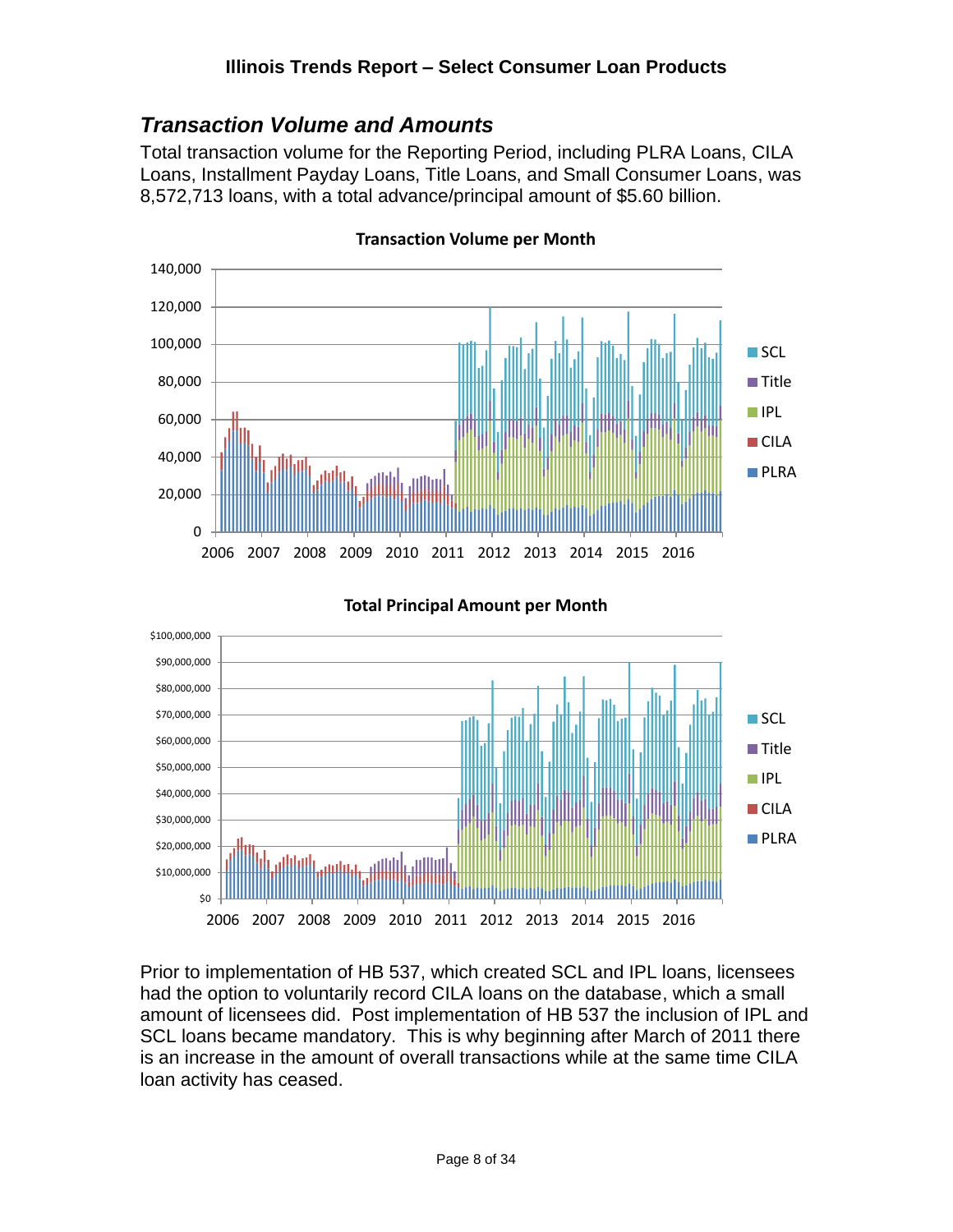#### <span id="page-7-0"></span>*Transaction Volume and Amounts*

\$100,000,000

Total transaction volume for the Reporting Period, including PLRA Loans, CILA Loans, Installment Payday Loans, Title Loans, and Small Consumer Loans, was 8,572,713 loans, with a total advance/principal amount of \$5.60 billion.



**Transaction Volume per Month**

**Total Principal Amount per Month**



Prior to implementation of HB 537, which created SCL and IPL loans, licensees had the option to voluntarily record CILA loans on the database, which a small amount of licensees did. Post implementation of HB 537 the inclusion of IPL and SCL loans became mandatory. This is why beginning after March of 2011 there is an increase in the amount of overall transactions while at the same time CILA loan activity has ceased.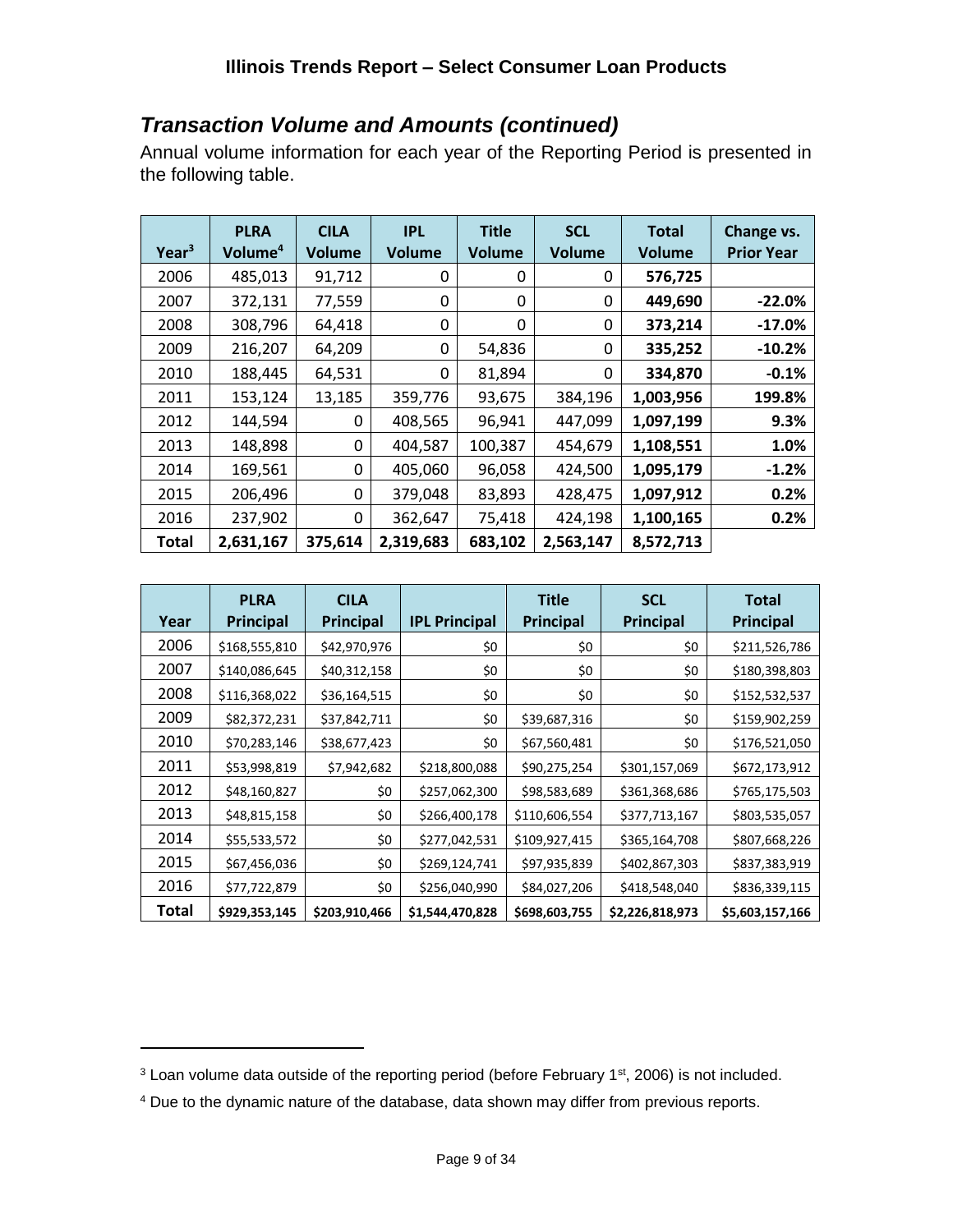## *Transaction Volume and Amounts (continued)*

Annual volume information for each year of the Reporting Period is presented in the following table.

| Year <sup>3</sup> | <b>PLRA</b><br>Volume <sup>4</sup> | <b>CILA</b><br><b>Volume</b> | <b>IPL</b><br><b>Volume</b> | <b>Title</b><br><b>Volume</b> | <b>SCL</b><br><b>Volume</b> | <b>Total</b><br><b>Volume</b> | Change vs.<br><b>Prior Year</b> |
|-------------------|------------------------------------|------------------------------|-----------------------------|-------------------------------|-----------------------------|-------------------------------|---------------------------------|
| 2006              | 485,013                            | 91,712                       | 0                           | 0                             | 0                           | 576,725                       |                                 |
| 2007              | 372,131                            | 77,559                       | 0                           | 0                             | 0                           | 449,690                       | $-22.0%$                        |
| 2008              | 308,796                            | 64,418                       | 0                           | 0                             | 0                           | 373,214                       | $-17.0%$                        |
| 2009              | 216,207                            | 64,209                       | 0                           | 54,836                        | 0                           | 335,252                       | $-10.2%$                        |
| 2010              | 188,445                            | 64,531                       | 0                           | 81,894                        | $\Omega$                    | 334,870                       | $-0.1%$                         |
| 2011              | 153,124                            | 13,185                       | 359,776                     | 93,675                        | 384,196                     | 1,003,956                     | 199.8%                          |
| 2012              | 144,594                            | 0                            | 408,565                     | 96,941                        | 447,099                     | 1,097,199                     | 9.3%                            |
| 2013              | 148,898                            | 0                            | 404,587                     | 100,387                       | 454,679                     | 1,108,551                     | 1.0%                            |
| 2014              | 169,561                            | 0                            | 405,060                     | 96,058                        | 424,500                     | 1,095,179                     | $-1.2%$                         |
| 2015              | 206,496                            | 0                            | 379,048                     | 83,893                        | 428,475                     | 1,097,912                     | 0.2%                            |
| 2016              | 237,902                            | 0                            | 362,647                     | 75,418                        | 424,198                     | 1,100,165                     | 0.2%                            |
| <b>Total</b>      | 2,631,167                          | 375,614                      | 2,319,683                   | 683,102                       | 2,563,147                   | 8,572,713                     |                                 |

| Year  | <b>PLRA</b><br><b>Principal</b> | <b>CILA</b><br><b>Principal</b> | <b>IPL Principal</b> | <b>Title</b><br>Principal | <b>SCL</b><br>Principal | <b>Total</b><br><b>Principal</b> |
|-------|---------------------------------|---------------------------------|----------------------|---------------------------|-------------------------|----------------------------------|
|       |                                 |                                 |                      |                           |                         |                                  |
| 2006  | \$168,555,810                   | \$42,970,976                    | \$0                  | \$0                       | \$0                     | \$211,526,786                    |
| 2007  | \$140,086,645                   | \$40,312,158                    | \$0                  | \$0                       | \$0                     | \$180,398,803                    |
| 2008  | \$116,368,022                   | \$36,164,515                    | \$0                  | \$0                       | \$0                     | \$152,532,537                    |
| 2009  | \$82,372,231                    | \$37,842,711                    | \$0                  | \$39,687,316              | \$0                     | \$159,902,259                    |
| 2010  | \$70,283,146                    | \$38,677,423                    | \$0                  | \$67,560,481              | \$0                     | \$176,521,050                    |
| 2011  | \$53,998,819                    | \$7,942,682                     | \$218,800,088        | \$90,275,254              | \$301,157,069           | \$672,173,912                    |
| 2012  | \$48,160,827                    | \$0                             | \$257,062,300        | \$98,583,689              | \$361,368,686           | \$765,175,503                    |
| 2013  | \$48,815,158                    | \$0                             | \$266,400,178        | \$110,606,554             | \$377,713,167           | \$803,535,057                    |
| 2014  | \$55,533,572                    | \$0                             | \$277,042,531        | \$109,927,415             | \$365,164,708           | \$807,668,226                    |
| 2015  | \$67,456,036                    | \$0                             | \$269,124,741        | \$97,935,839              | \$402,867,303           | \$837,383,919                    |
| 2016  | \$77,722,879                    | \$0                             | \$256,040,990        | \$84,027,206              | \$418,548,040           | \$836,339,115                    |
| Total | \$929,353,145                   | \$203,910,466                   | \$1,544,470,828      | \$698,603,755             | \$2,226,818,973         | \$5,603,157,166                  |

<sup>&</sup>lt;sup>3</sup> Loan volume data outside of the reporting period (before February 1<sup>st</sup>, 2006) is not included.

<sup>4</sup> Due to the dynamic nature of the database, data shown may differ from previous reports.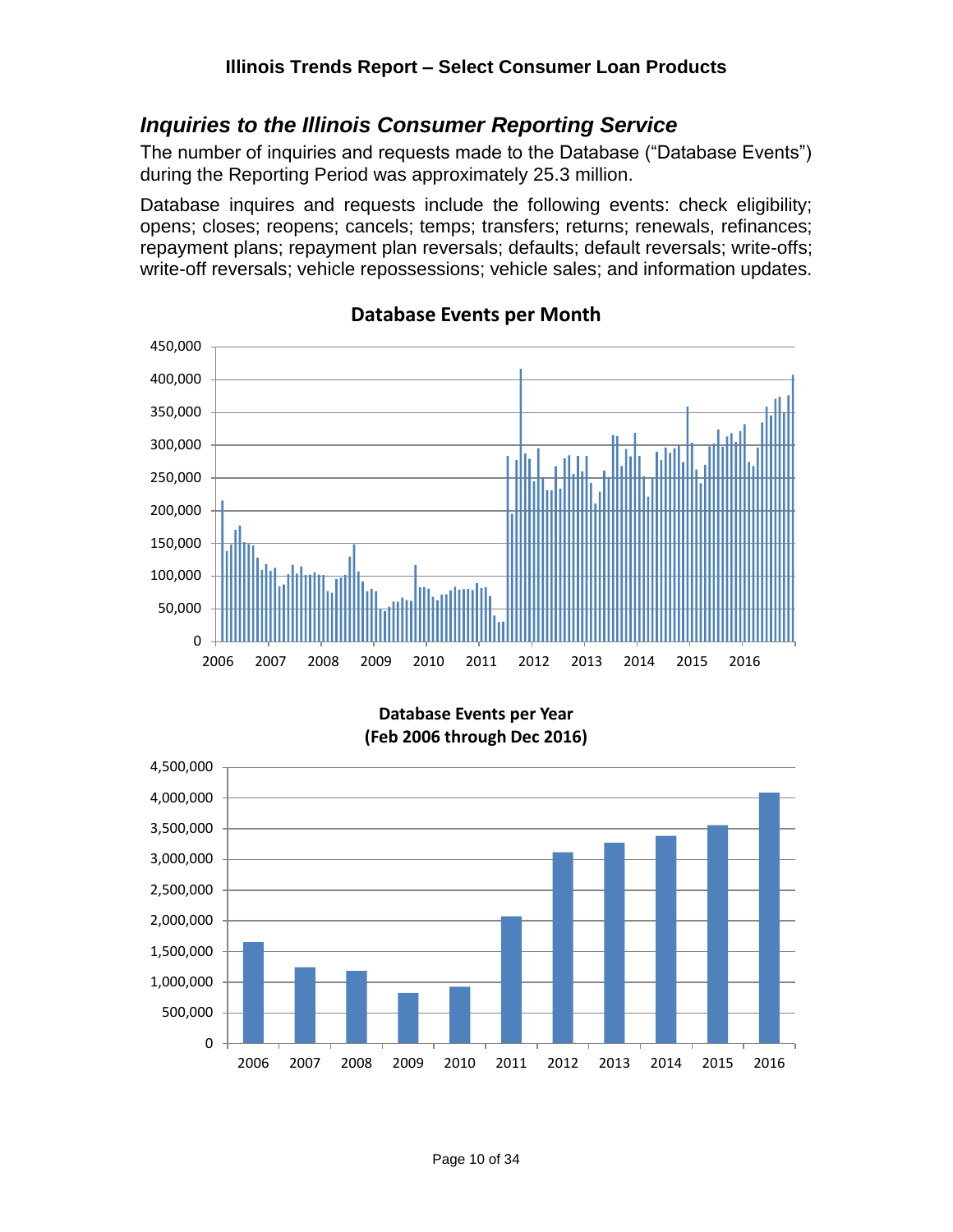#### <span id="page-9-0"></span>*Inquiries to the Illinois Consumer Reporting Service*

The number of inquiries and requests made to the Database ("Database Events") during the Reporting Period was approximately 25.3 million.

Database inquires and requests include the following events: check eligibility; opens; closes; reopens; cancels; temps; transfers; returns; renewals, refinances; repayment plans; repayment plan reversals; defaults; default reversals; write-offs; write-off reversals; vehicle repossessions; vehicle sales; and information updates.



**Database Events per Month**

**Database Events per Year (Feb 2006 through Dec 2016)**

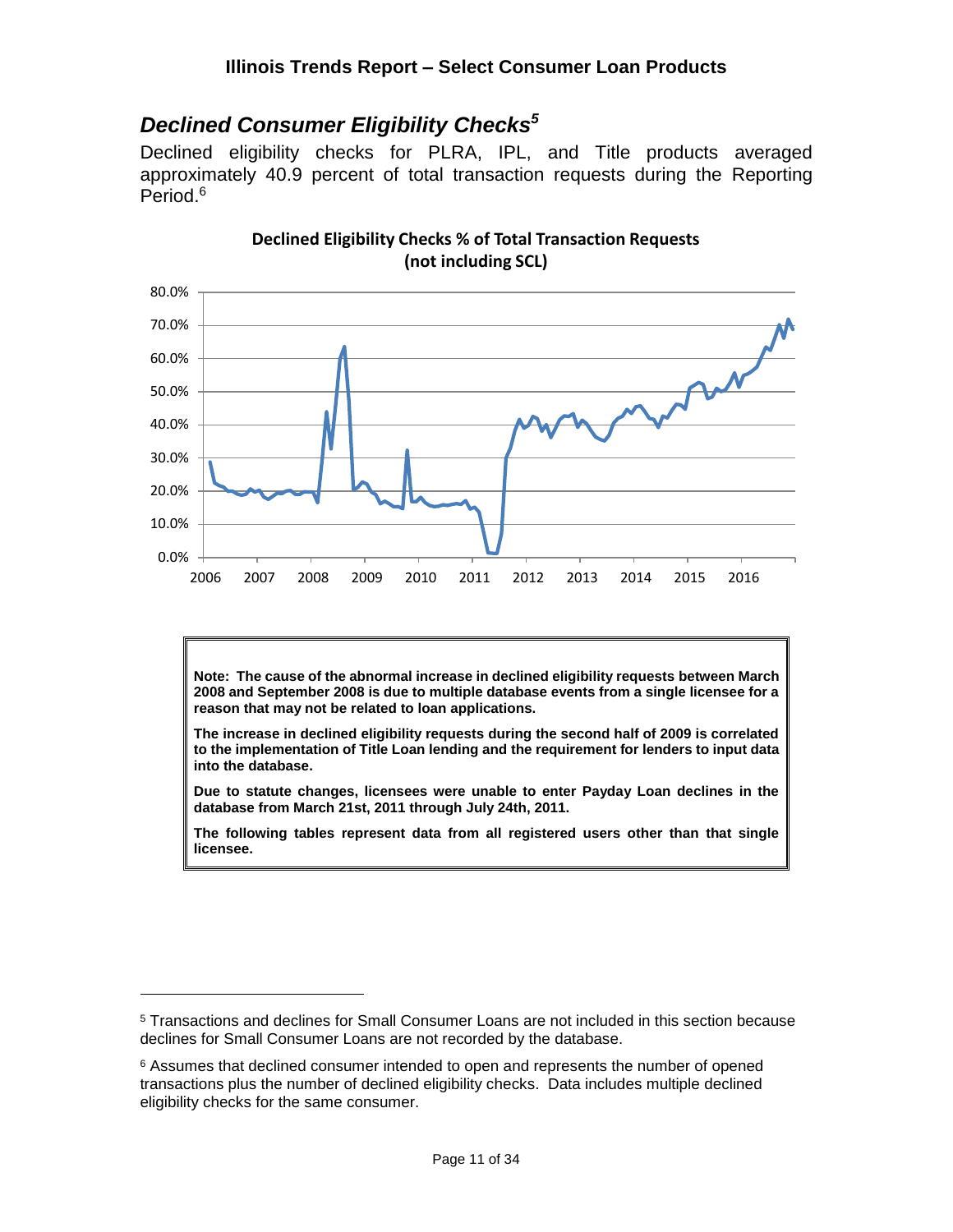### <span id="page-10-0"></span>*Declined Consumer Eligibility Checks<sup>5</sup>*

Declined eligibility checks for PLRA, IPL, and Title products averaged approximately 40.9 percent of total transaction requests during the Reporting Period. 6



**Declined Eligibility Checks % of Total Transaction Requests (not including SCL)**

**Note: The cause of the abnormal increase in declined eligibility requests between March 2008 and September 2008 is due to multiple database events from a single licensee for a reason that may not be related to loan applications.**

**The increase in declined eligibility requests during the second half of 2009 is correlated to the implementation of Title Loan lending and the requirement for lenders to input data into the database.**

**Due to statute changes, licensees were unable to enter Payday Loan declines in the database from March 21st, 2011 through July 24th, 2011.**

**The following tables represent data from all registered users other than that single licensee.**

<sup>5</sup> Transactions and declines for Small Consumer Loans are not included in this section because declines for Small Consumer Loans are not recorded by the database.

<sup>&</sup>lt;sup>6</sup> Assumes that declined consumer intended to open and represents the number of opened transactions plus the number of declined eligibility checks. Data includes multiple declined eligibility checks for the same consumer.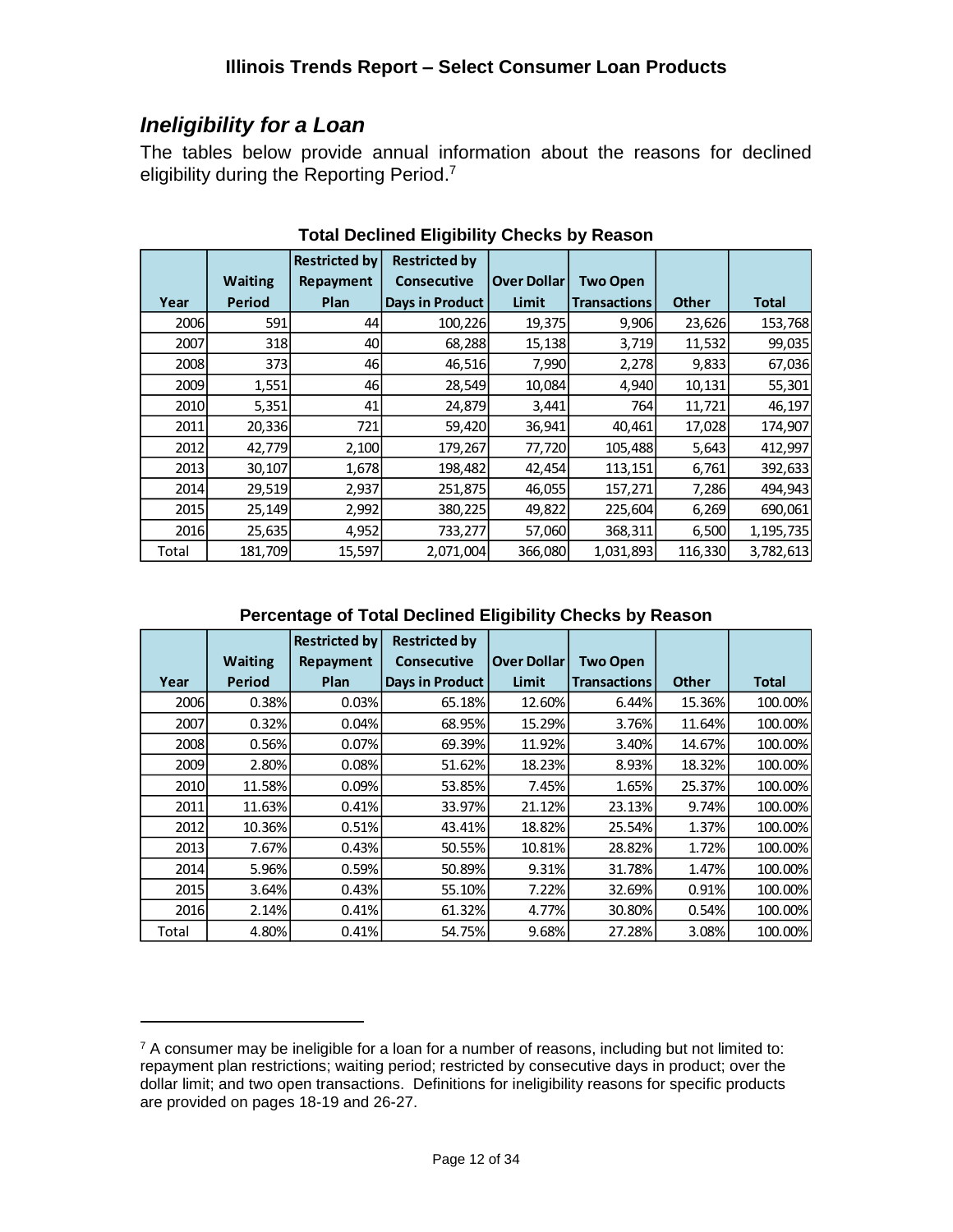# <span id="page-11-0"></span>*Ineligibility for a Loan*

 $\overline{a}$ 

The tables below provide annual information about the reasons for declined eligibility during the Reporting Period.<sup>7</sup>

|       |                | <b>Restricted by</b> | <b>Restricted by</b> |                    |                     |              |              |
|-------|----------------|----------------------|----------------------|--------------------|---------------------|--------------|--------------|
|       | <b>Waiting</b> | Repayment            | <b>Consecutive</b>   | <b>Over Dollar</b> | <b>Two Open</b>     |              |              |
| Year  | <b>Period</b>  | Plan                 | Days in Product      | Limit              | <b>Transactions</b> | <b>Other</b> | <b>Total</b> |
| 2006  | 591            | 44                   | 100,226              | 19,375             | 9,906               | 23,626       | 153,768      |
| 2007  | <b>318</b>     | 40                   | 68,288               | 15,138             | 3,719               | 11,532       | 99,035       |
| 2008  | 373            | 46                   | 46,516               | 7,990              | 2,278               | 9,833        | 67,036       |
| 2009  | 1,551          | 46                   | 28,549               | 10,084             | 4,940               | 10,131       | 55,301       |
| 2010  | 5,351          | 41                   | 24,879               | 3,441              | 764                 | 11,721       | 46,197       |
| 2011  | 20,336         | 721                  | 59,420               | 36,941             | 40,461              | 17,028       | 174,907      |
| 2012  | 42,779         | 2,100                | 179,267              | 77,720             | 105,488             | 5,643        | 412,997      |
| 2013  | 30,107         | 1,678                | 198,482              | 42,454             | 113,151             | 6,761        | 392,633      |
| 2014  | 29,519         | 2,937                | 251,875              | 46,055             | 157,271             | 7,286        | 494,943      |
| 2015  | 25,149         | 2,992                | 380,225              | 49,822             | 225,604             | 6,269        | 690,061      |
| 2016  | 25,635         | 4,952                | 733,277              | 57,060             | 368,311             | 6,500        | 1,195,735    |
| Total | 181,709        | 15,597               | 2,071,004            | 366,080            | 1,031,893           | 116,330      | 3,782,613    |

**Total Declined Eligibility Checks by Reason**

#### **Percentage of Total Declined Eligibility Checks by Reason**

|       |                | <b>Restricted by</b> | <b>Restricted by</b> |                    |                     |              |              |
|-------|----------------|----------------------|----------------------|--------------------|---------------------|--------------|--------------|
|       | <b>Waiting</b> | Repayment            | <b>Consecutive</b>   | <b>Over Dollar</b> | <b>Two Open</b>     |              |              |
| Year  | <b>Period</b>  | Plan                 | Days in Product      | Limit              | <b>Transactions</b> | <b>Other</b> | <b>Total</b> |
| 2006  | 0.38%          | 0.03%                | 65.18%               | 12.60%             | 6.44%               | 15.36%       | 100.00%      |
| 2007  | 0.32%          | 0.04%                | 68.95%               | 15.29%             | 3.76%               | 11.64%       | 100.00%      |
| 2008  | 0.56%          | 0.07%                | 69.39%               | 11.92%             | 3.40%               | 14.67%       | 100.00%      |
| 2009  | 2.80%          | 0.08%                | 51.62%               | 18.23%             | 8.93%               | 18.32%       | 100.00%      |
| 2010  | 11.58%         | 0.09%                | 53.85%               | 7.45%              | 1.65%               | 25.37%       | 100.00%      |
| 2011  | 11.63%         | 0.41%                | 33.97%               | 21.12%             | 23.13%              | 9.74%        | 100.00%      |
| 2012  | 10.36%         | 0.51%                | 43.41%               | 18.82%             | 25.54%              | 1.37%        | 100.00%      |
| 2013  | 7.67%          | 0.43%                | 50.55%               | 10.81%             | 28.82%              | 1.72%        | 100.00%      |
| 2014  | 5.96%          | 0.59%                | 50.89%               | 9.31%              | 31.78%              | 1.47%        | 100.00%      |
| 2015  | 3.64%          | 0.43%                | 55.10%               | 7.22%              | 32.69%              | 0.91%        | 100.00%      |
| 2016  | 2.14%          | 0.41%                | 61.32%               | 4.77%              | 30.80%              | 0.54%        | 100.00%      |
| Total | 4.80%          | 0.41%                | 54.75%               | 9.68%              | 27.28%              | 3.08%        | 100.00%      |

 $7$  A consumer may be ineligible for a loan for a number of reasons, including but not limited to: repayment plan restrictions; waiting period; restricted by consecutive days in product; over the dollar limit; and two open transactions. Definitions for ineligibility reasons for specific products are provided on pages 18-19 and 26-27.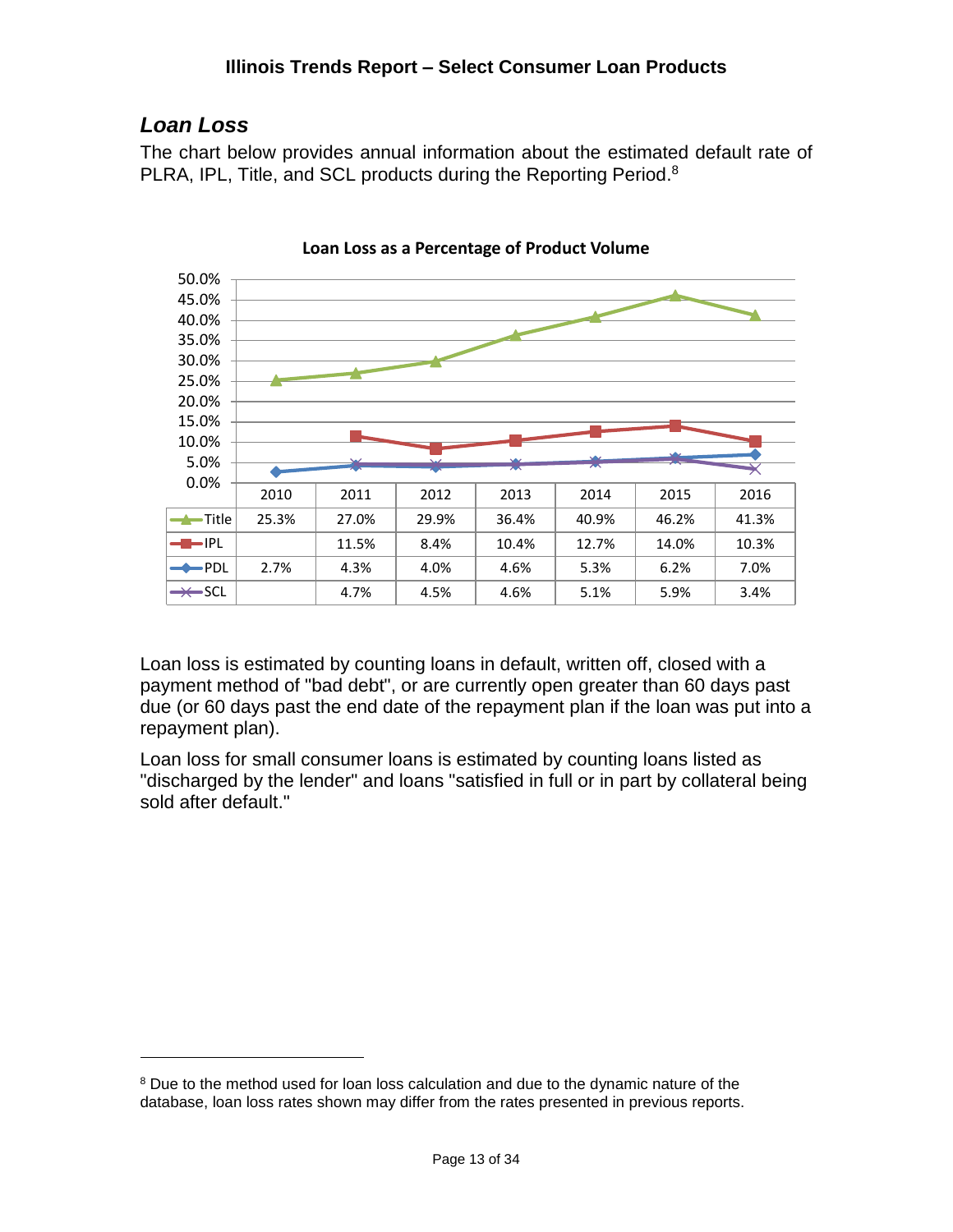# <span id="page-12-0"></span>*Loan Loss*

 $\overline{a}$ 

The chart below provides annual information about the estimated default rate of PLRA, IPL, Title, and SCL products during the Reporting Period.<sup>8</sup>



**Loan Loss as a Percentage of Product Volume**

Loan loss is estimated by counting loans in default, written off, closed with a payment method of "bad debt", or are currently open greater than 60 days past due (or 60 days past the end date of the repayment plan if the loan was put into a repayment plan).

Loan loss for small consumer loans is estimated by counting loans listed as "discharged by the lender" and loans "satisfied in full or in part by collateral being sold after default."

<sup>&</sup>lt;sup>8</sup> Due to the method used for loan loss calculation and due to the dynamic nature of the database, loan loss rates shown may differ from the rates presented in previous reports.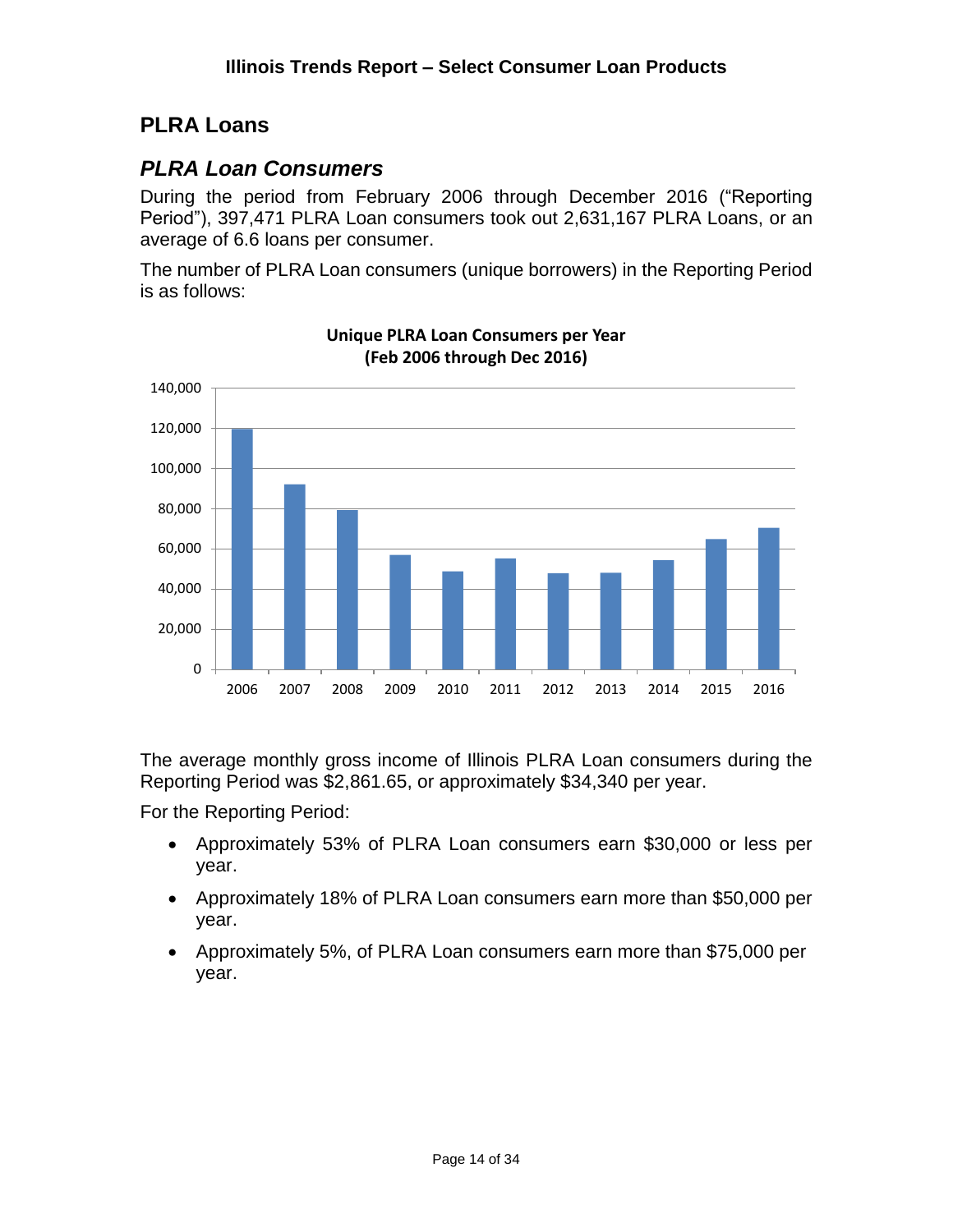# <span id="page-13-0"></span>**PLRA Loans**

## <span id="page-13-1"></span>*PLRA Loan Consumers*

During the period from February 2006 through December 2016 ("Reporting Period"), 397,471 PLRA Loan consumers took out 2,631,167 PLRA Loans, or an average of 6.6 loans per consumer.

The number of PLRA Loan consumers (unique borrowers) in the Reporting Period is as follows:



**Unique PLRA Loan Consumers per Year (Feb 2006 through Dec 2016)**

The average monthly gross income of Illinois PLRA Loan consumers during the Reporting Period was \$2,861.65, or approximately \$34,340 per year.

For the Reporting Period:

- Approximately 53% of PLRA Loan consumers earn \$30,000 or less per year.
- Approximately 18% of PLRA Loan consumers earn more than \$50,000 per year.
- Approximately 5%, of PLRA Loan consumers earn more than \$75,000 per year.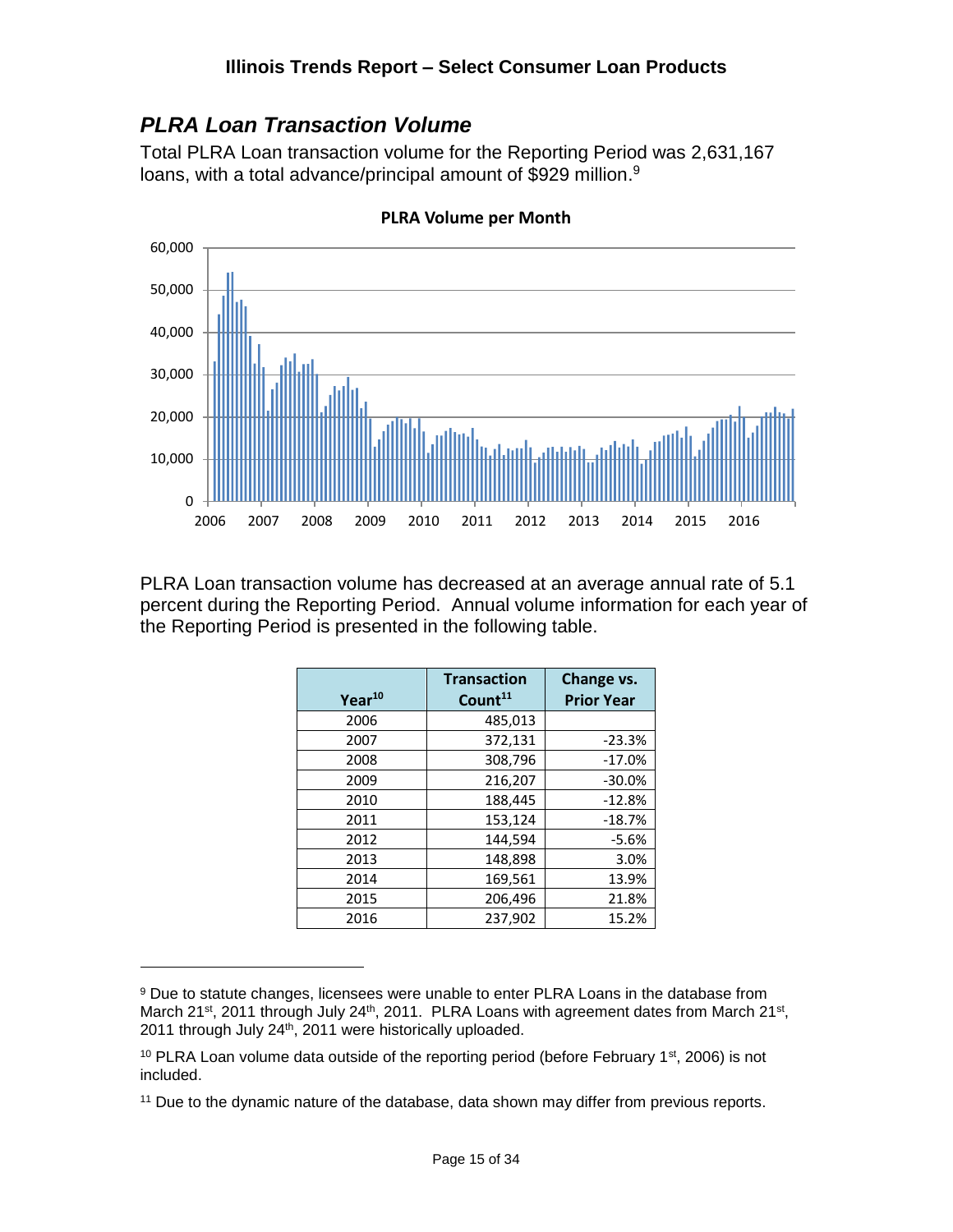#### <span id="page-14-0"></span>*PLRA Loan Transaction Volume*

Total PLRA Loan transaction volume for the Reporting Period was 2,631,167 loans, with a total advance/principal amount of \$929 million.<sup>9</sup>



**PLRA Volume per Month**

PLRA Loan transaction volume has decreased at an average annual rate of 5.1 percent during the Reporting Period. Annual volume information for each year of the Reporting Period is presented in the following table.

|                    | <b>Transaction</b>  | Change vs.        |
|--------------------|---------------------|-------------------|
| Year <sup>10</sup> | Count <sup>11</sup> | <b>Prior Year</b> |
| 2006               | 485,013             |                   |
| 2007               | 372,131             | $-23.3%$          |
| 2008               | 308,796             | $-17.0%$          |
| 2009               | 216,207             | $-30.0%$          |
| 2010               | 188,445             | $-12.8%$          |
| 2011               | 153,124             | $-18.7%$          |
| 2012               | 144.594             | $-5.6%$           |
| 2013               | 148,898             | 3.0%              |
| 2014               | 169,561             | 13.9%             |
| 2015               | 206,496             | 21.8%             |
| 2016               | 237,902             | 15.2%             |

<sup>&</sup>lt;sup>9</sup> Due to statute changes, licensees were unable to enter PLRA Loans in the database from March 21<sup>st</sup>, 2011 through July 24<sup>th</sup>, 2011. PLRA Loans with agreement dates from March 21<sup>st</sup>, 2011 through July 24th, 2011 were historically uploaded.

<sup>&</sup>lt;sup>10</sup> PLRA Loan volume data outside of the reporting period (before February 1<sup>st</sup>, 2006) is not included.

<sup>&</sup>lt;sup>11</sup> Due to the dynamic nature of the database, data shown may differ from previous reports.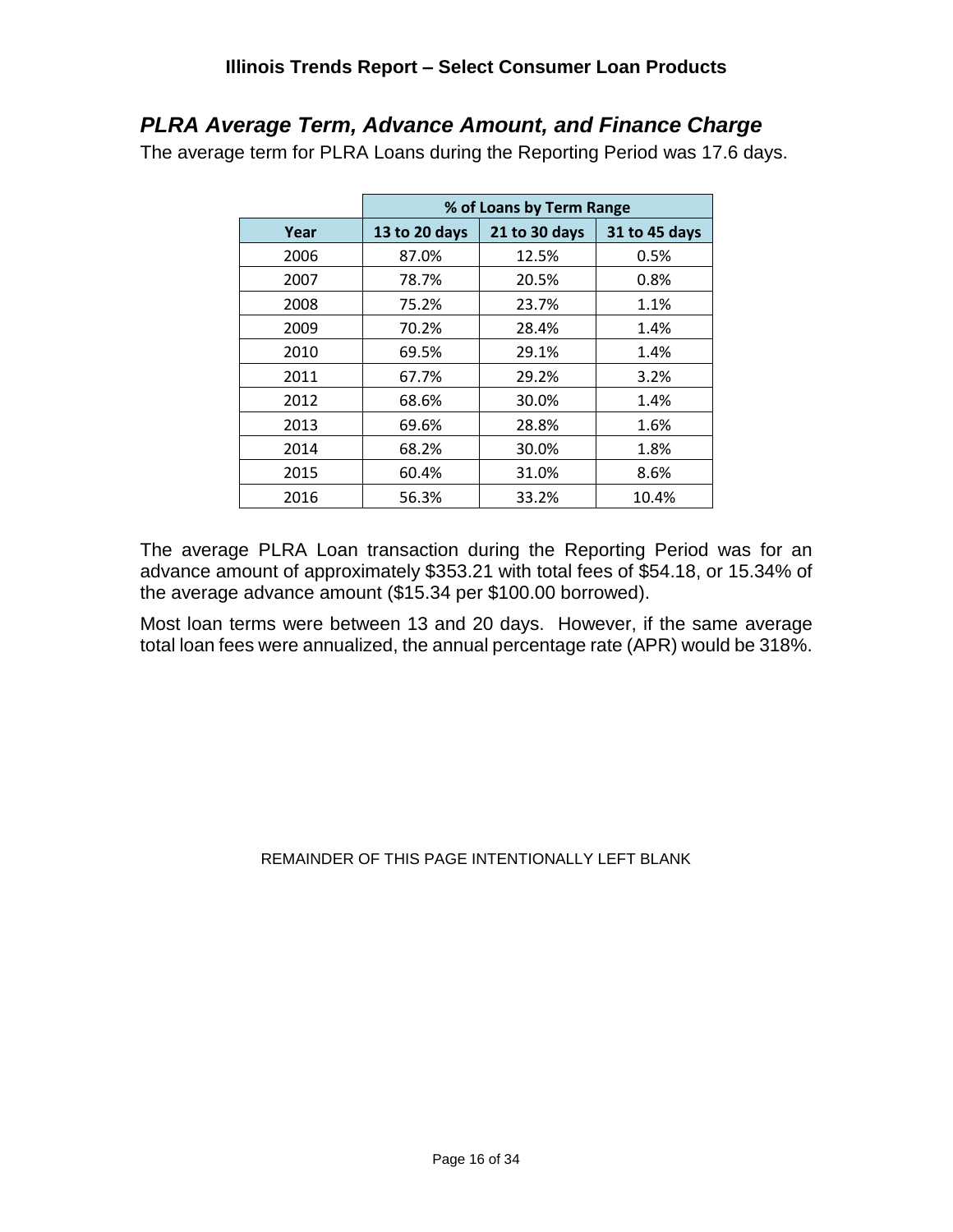#### <span id="page-15-0"></span>*PLRA Average Term, Advance Amount, and Finance Charge*

The average term for PLRA Loans during the Reporting Period was 17.6 days.

|      | % of Loans by Term Range |               |               |  |  |  |
|------|--------------------------|---------------|---------------|--|--|--|
| Year | 13 to 20 days            | 21 to 30 days | 31 to 45 days |  |  |  |
| 2006 | 87.0%                    | 12.5%         | 0.5%          |  |  |  |
| 2007 | 78.7%                    | 20.5%         | 0.8%          |  |  |  |
| 2008 | 75.2%                    | 23.7%         | 1.1%          |  |  |  |
| 2009 | 70.2%                    | 28.4%         | 1.4%          |  |  |  |
| 2010 | 69.5%                    | 29.1%         | 1.4%          |  |  |  |
| 2011 | 67.7%                    | 29.2%         | 3.2%          |  |  |  |
| 2012 | 68.6%                    | 30.0%         | 1.4%          |  |  |  |
| 2013 | 69.6%                    | 28.8%         | 1.6%          |  |  |  |
| 2014 | 68.2%                    | 30.0%         | 1.8%          |  |  |  |
| 2015 | 60.4%                    | 31.0%         | 8.6%          |  |  |  |
| 2016 | 56.3%                    | 33.2%         | 10.4%         |  |  |  |

The average PLRA Loan transaction during the Reporting Period was for an advance amount of approximately \$353.21 with total fees of \$54.18, or 15.34% of the average advance amount (\$15.34 per \$100.00 borrowed).

Most loan terms were between 13 and 20 days. However, if the same average total loan fees were annualized, the annual percentage rate (APR) would be 318%.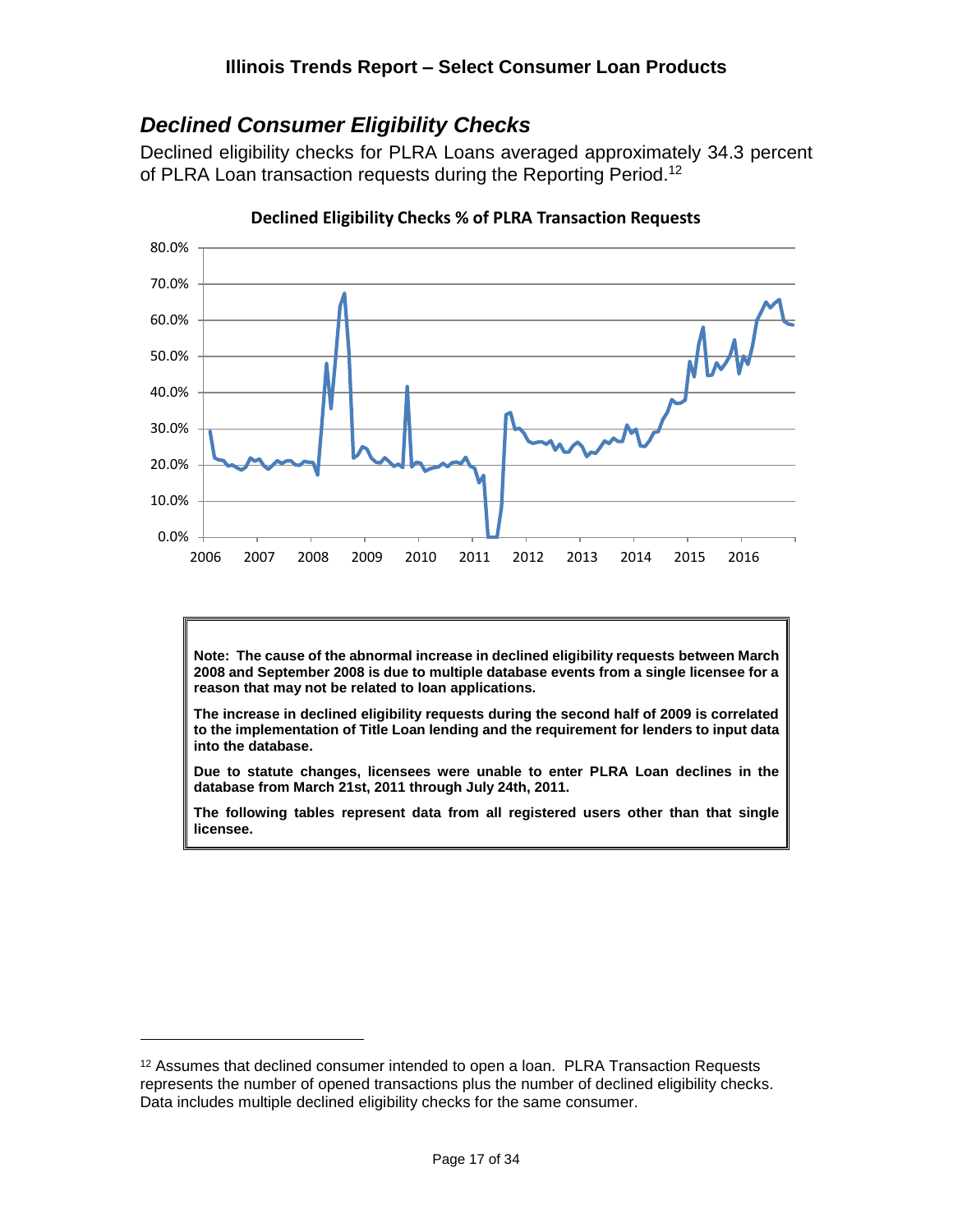### <span id="page-16-0"></span>*Declined Consumer Eligibility Checks*

Declined eligibility checks for PLRA Loans averaged approximately 34.3 percent of PLRA Loan transaction requests during the Reporting Period.<sup>12</sup>



**Declined Eligibility Checks % of PLRA Transaction Requests**

**Note: The cause of the abnormal increase in declined eligibility requests between March 2008 and September 2008 is due to multiple database events from a single licensee for a reason that may not be related to loan applications.**

**The increase in declined eligibility requests during the second half of 2009 is correlated to the implementation of Title Loan lending and the requirement for lenders to input data into the database.**

**Due to statute changes, licensees were unable to enter PLRA Loan declines in the database from March 21st, 2011 through July 24th, 2011.**

**The following tables represent data from all registered users other than that single licensee.**

<sup>&</sup>lt;sup>12</sup> Assumes that declined consumer intended to open a loan. PLRA Transaction Requests represents the number of opened transactions plus the number of declined eligibility checks. Data includes multiple declined eligibility checks for the same consumer.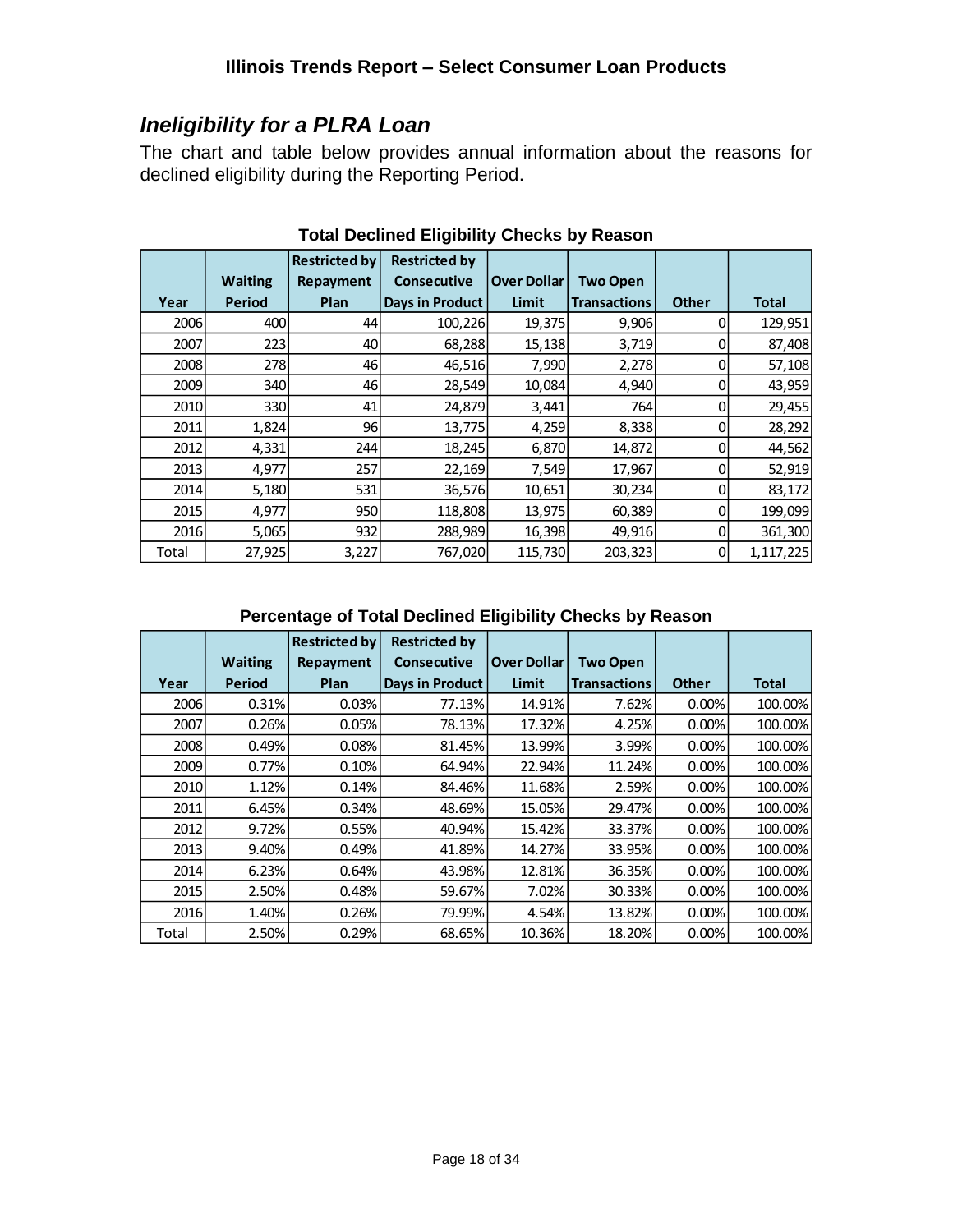# <span id="page-17-0"></span>*Ineligibility for a PLRA Loan*

The chart and table below provides annual information about the reasons for declined eligibility during the Reporting Period.

|       |                | <b>Restricted by</b> | <b>Restricted by</b> |                    |                     |              |              |
|-------|----------------|----------------------|----------------------|--------------------|---------------------|--------------|--------------|
|       | <b>Waiting</b> | Repayment            | <b>Consecutive</b>   | <b>Over Dollar</b> | <b>Two Open</b>     |              |              |
| Year  | Period         | Plan                 | Days in Product      | Limit              | <b>Transactions</b> | <b>Other</b> | <b>Total</b> |
| 2006  | 400            | 44                   | 100,226              | 19,375             | 9,906               | 0            | 129,951      |
| 2007  | 223            | 40                   | 68,288               | 15,138             | 3,719               |              | 87,408       |
| 2008  | 278            | 46                   | 46,516               | 7,990              | 2,278               | 0            | 57,108       |
| 2009  | 340            | 46                   | 28,549               | 10,084             | 4,940               | 0            | 43,959       |
| 2010  | 330            | 41                   | 24,879               | 3,441              | 764                 | 0            | 29,455       |
| 2011  | 1,824          | 96                   | 13,775               | 4,259              | 8,338               |              | 28,292       |
| 2012  | 4,331          | 244l                 | 18,245               | 6,870              | 14,872              | 0            | 44,562       |
| 2013  | 4,977          | 257                  | 22,169               | 7,549              | 17,967              | Ω            | 52,919       |
| 2014  | 5,180          | 531                  | 36,576               | 10,651             | 30,234              | 0            | 83,172       |
| 2015  | 4,977          | 950                  | 118,808              | 13,975             | 60,389              | 0            | 199,099      |
| 2016  | 5,065          | 932                  | 288,989              | 16,398             | 49,916              | 0            | 361,300      |
| Total | 27,925         | 3,227                | 767,020              | 115,730            | 203,323             | 0            | 1,117,225    |

**Total Declined Eligibility Checks by Reason**

#### **Percentage of Total Declined Eligibility Checks by Reason**

|             |                | <b>Restricted by</b> | <b>Restricted by</b>   |                    |                     |              |              |
|-------------|----------------|----------------------|------------------------|--------------------|---------------------|--------------|--------------|
|             | <b>Waiting</b> | Repayment            | <b>Consecutive</b>     | <b>Over Dollar</b> | <b>Two Open</b>     |              |              |
| Year        | Period         | Plan                 | <b>Days in Product</b> | Limit              | <b>Transactions</b> | <b>Other</b> | <b>Total</b> |
| <b>2006</b> | 0.31%          | 0.03%                | 77.13%                 | 14.91%             | 7.62%               | 0.00%        | 100.00%      |
| 2007        | 0.26%          | 0.05%                | 78.13%                 | 17.32%             | 4.25%               | 0.00%        | 100.00%      |
| <b>2008</b> | 0.49%          | 0.08%                | 81.45%                 | 13.99%             | 3.99%               | 0.00%        | 100.00%      |
| <b>2009</b> | 0.77%          | 0.10%                | 64.94%                 | 22.94%             | 11.24%              | 0.00%        | 100.00%      |
| <b>2010</b> | 1.12%          | 0.14%                | 84.46%                 | 11.68%             | 2.59%               | 0.00%        | 100.00%      |
| 2011        | 6.45%          | 0.34%                | 48.69%                 | 15.05%             | 29.47%              | 0.00%        | 100.00%      |
| 2012        | 9.72%          | 0.55%                | 40.94%                 | 15.42%             | 33.37%              | 0.00%        | 100.00%      |
| 2013        | 9.40%          | 0.49%                | 41.89%                 | 14.27%             | 33.95%              | 0.00%        | 100.00%      |
| <b>2014</b> | 6.23%          | 0.64%                | 43.98%                 | 12.81%             | 36.35%              | 0.00%        | 100.00%      |
| 2015        | 2.50%          | 0.48%                | 59.67%                 | 7.02%              | 30.33%              | 0.00%        | 100.00%      |
| <b>2016</b> | 1.40%          | 0.26%                | 79.99%                 | 4.54%              | 13.82%              | 0.00%        | 100.00%      |
| Total       | 2.50%          | 0.29%                | 68.65%                 | 10.36%             | 18.20%              | 0.00%        | 100.00%      |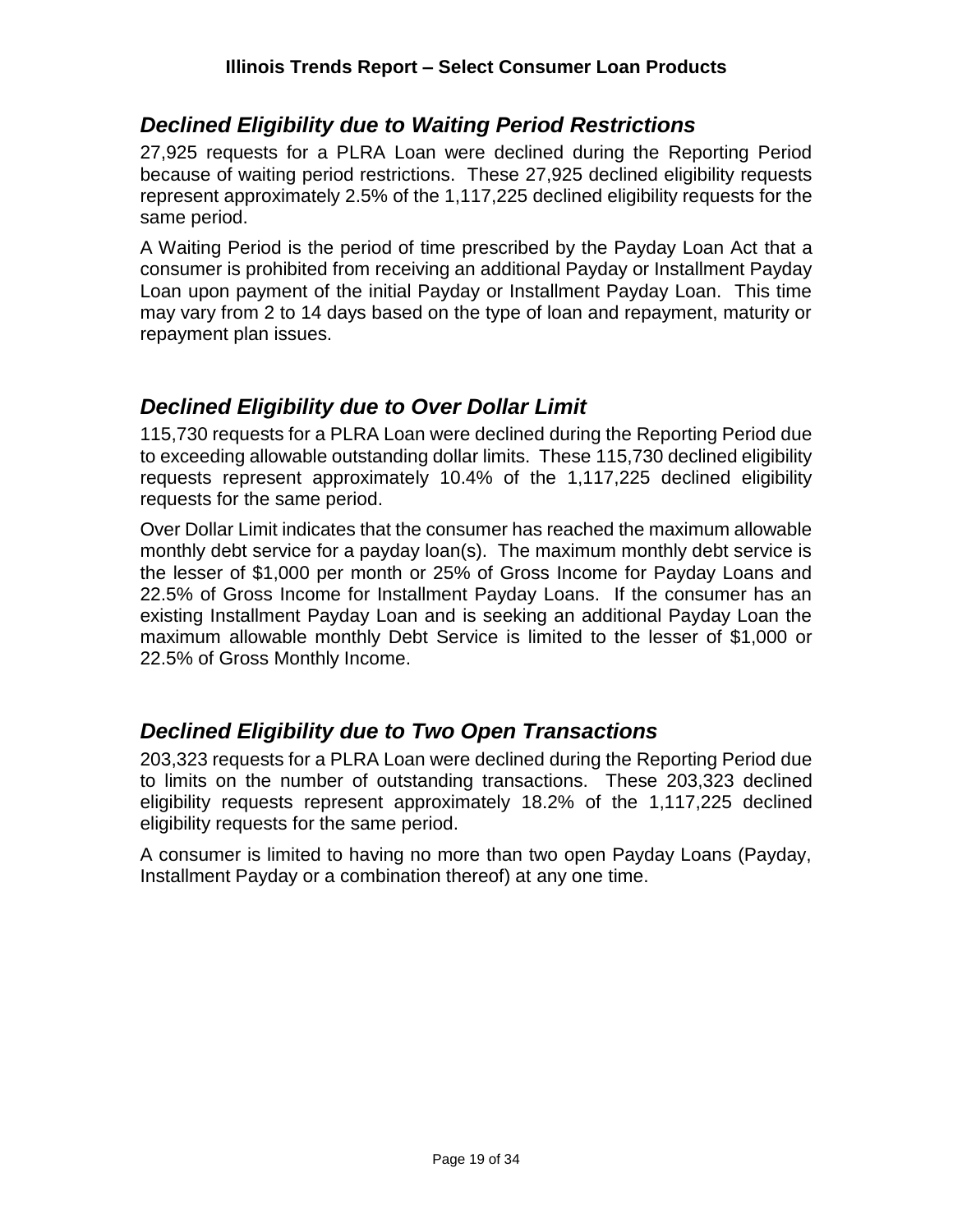#### <span id="page-18-0"></span>*Declined Eligibility due to Waiting Period Restrictions*

27,925 requests for a PLRA Loan were declined during the Reporting Period because of waiting period restrictions. These 27,925 declined eligibility requests represent approximately 2.5% of the 1,117,225 declined eligibility requests for the same period.

A Waiting Period is the period of time prescribed by the Payday Loan Act that a consumer is prohibited from receiving an additional Payday or Installment Payday Loan upon payment of the initial Payday or Installment Payday Loan. This time may vary from 2 to 14 days based on the type of loan and repayment, maturity or repayment plan issues.

#### <span id="page-18-1"></span>*Declined Eligibility due to Over Dollar Limit*

115,730 requests for a PLRA Loan were declined during the Reporting Period due to exceeding allowable outstanding dollar limits. These 115,730 declined eligibility requests represent approximately 10.4% of the 1,117,225 declined eligibility requests for the same period.

Over Dollar Limit indicates that the consumer has reached the maximum allowable monthly debt service for a payday loan(s). The maximum monthly debt service is the lesser of \$1,000 per month or 25% of Gross Income for Payday Loans and 22.5% of Gross Income for Installment Payday Loans. If the consumer has an existing Installment Payday Loan and is seeking an additional Payday Loan the maximum allowable monthly Debt Service is limited to the lesser of \$1,000 or 22.5% of Gross Monthly Income.

# <span id="page-18-2"></span>*Declined Eligibility due to Two Open Transactions*

203,323 requests for a PLRA Loan were declined during the Reporting Period due to limits on the number of outstanding transactions. These 203,323 declined eligibility requests represent approximately 18.2% of the 1,117,225 declined eligibility requests for the same period.

A consumer is limited to having no more than two open Payday Loans (Payday, Installment Payday or a combination thereof) at any one time.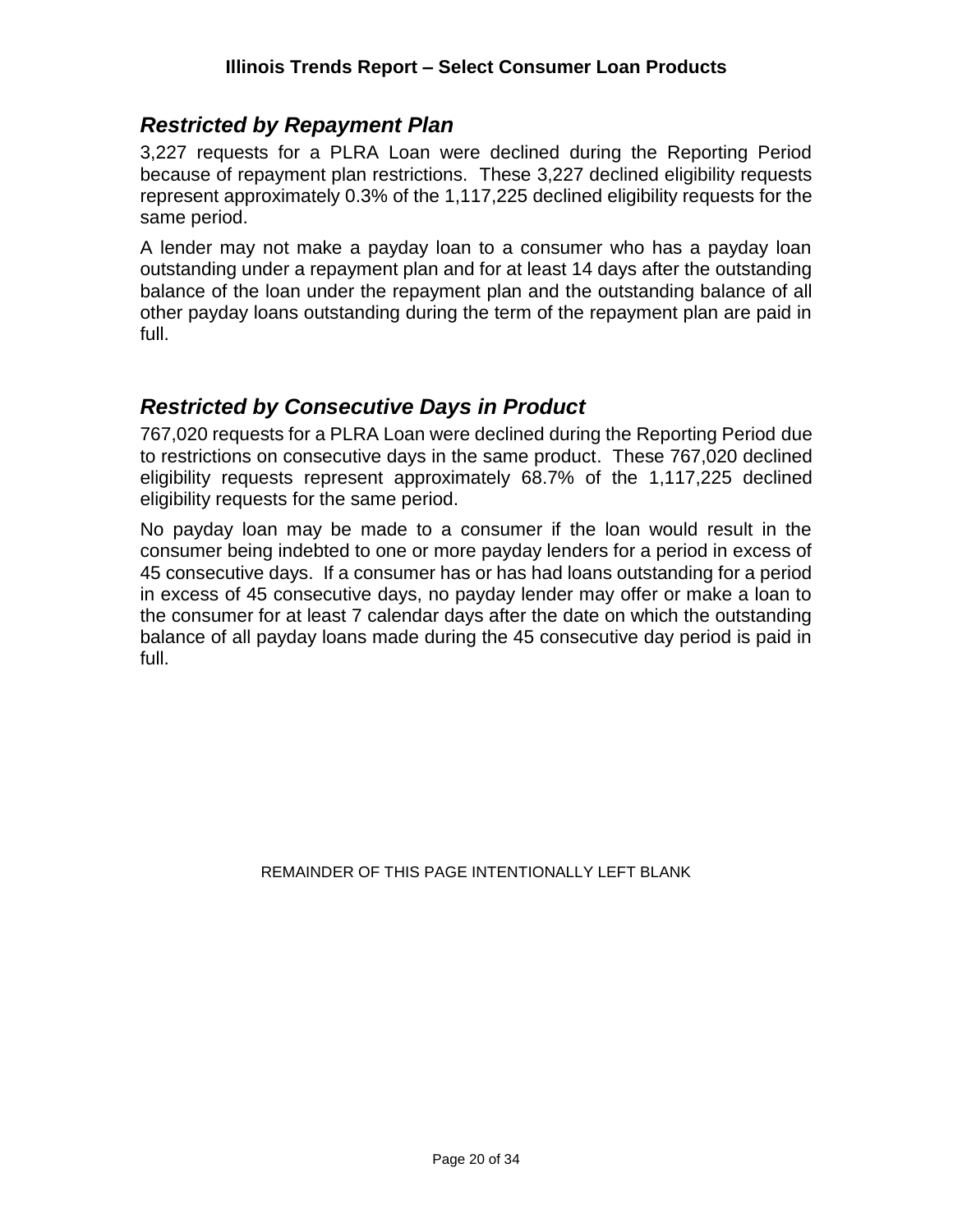#### <span id="page-19-0"></span>*Restricted by Repayment Plan*

3,227 requests for a PLRA Loan were declined during the Reporting Period because of repayment plan restrictions. These 3,227 declined eligibility requests represent approximately 0.3% of the 1,117,225 declined eligibility requests for the same period.

A lender may not make a payday loan to a consumer who has a payday loan outstanding under a repayment plan and for at least 14 days after the outstanding balance of the loan under the repayment plan and the outstanding balance of all other payday loans outstanding during the term of the repayment plan are paid in full.

#### <span id="page-19-1"></span>*Restricted by Consecutive Days in Product*

767,020 requests for a PLRA Loan were declined during the Reporting Period due to restrictions on consecutive days in the same product. These 767,020 declined eligibility requests represent approximately 68.7% of the 1,117,225 declined eligibility requests for the same period.

No payday loan may be made to a consumer if the loan would result in the consumer being indebted to one or more payday lenders for a period in excess of 45 consecutive days. If a consumer has or has had loans outstanding for a period in excess of 45 consecutive days, no payday lender may offer or make a loan to the consumer for at least 7 calendar days after the date on which the outstanding balance of all payday loans made during the 45 consecutive day period is paid in full.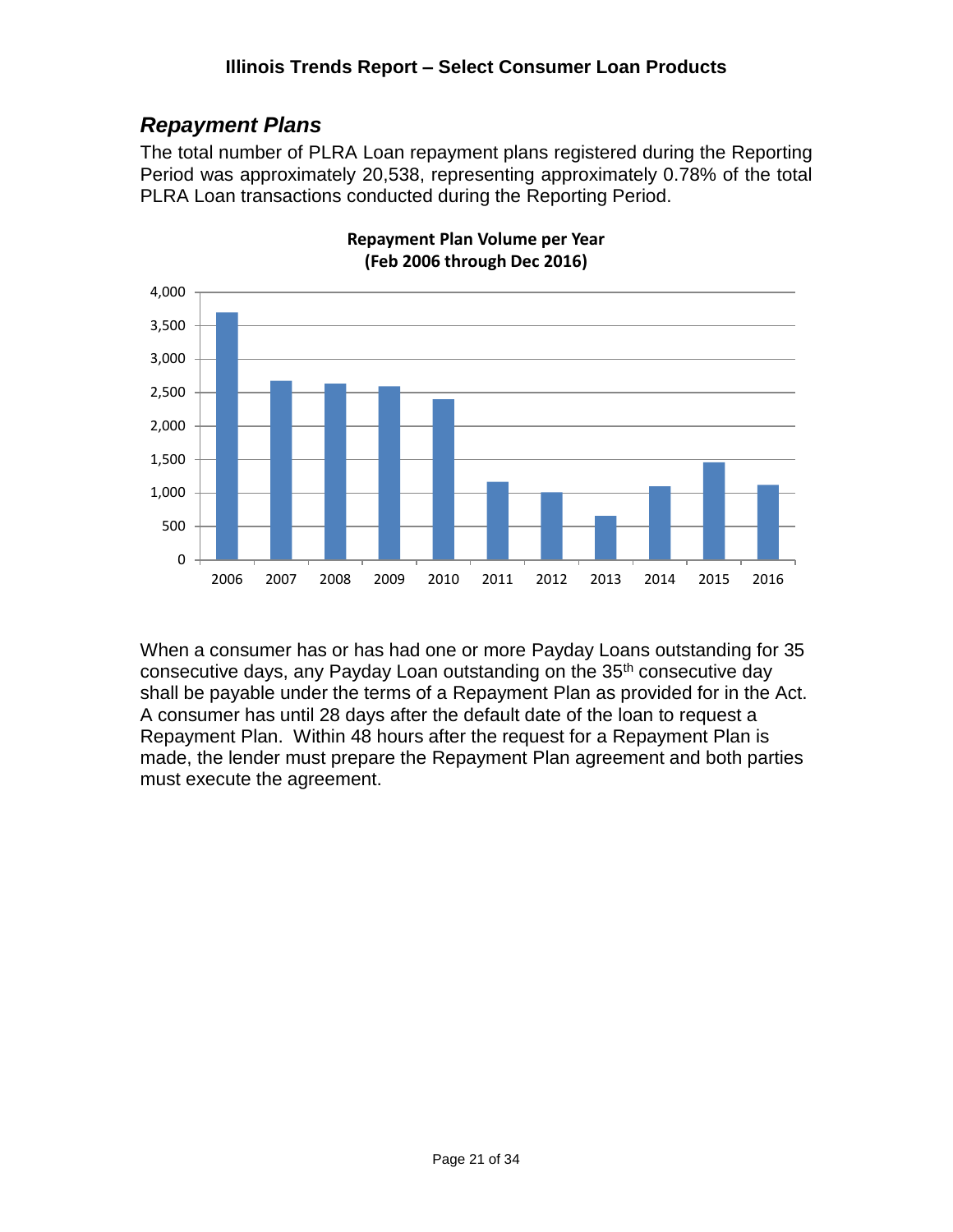# <span id="page-20-0"></span>*Repayment Plans*

The total number of PLRA Loan repayment plans registered during the Reporting Period was approximately 20,538, representing approximately 0.78% of the total PLRA Loan transactions conducted during the Reporting Period.



**Repayment Plan Volume per Year (Feb 2006 through Dec 2016)**

When a consumer has or has had one or more Payday Loans outstanding for 35 consecutive days, any Payday Loan outstanding on the 35<sup>th</sup> consecutive day shall be payable under the terms of a Repayment Plan as provided for in the Act. A consumer has until 28 days after the default date of the loan to request a Repayment Plan. Within 48 hours after the request for a Repayment Plan is made, the lender must prepare the Repayment Plan agreement and both parties must execute the agreement.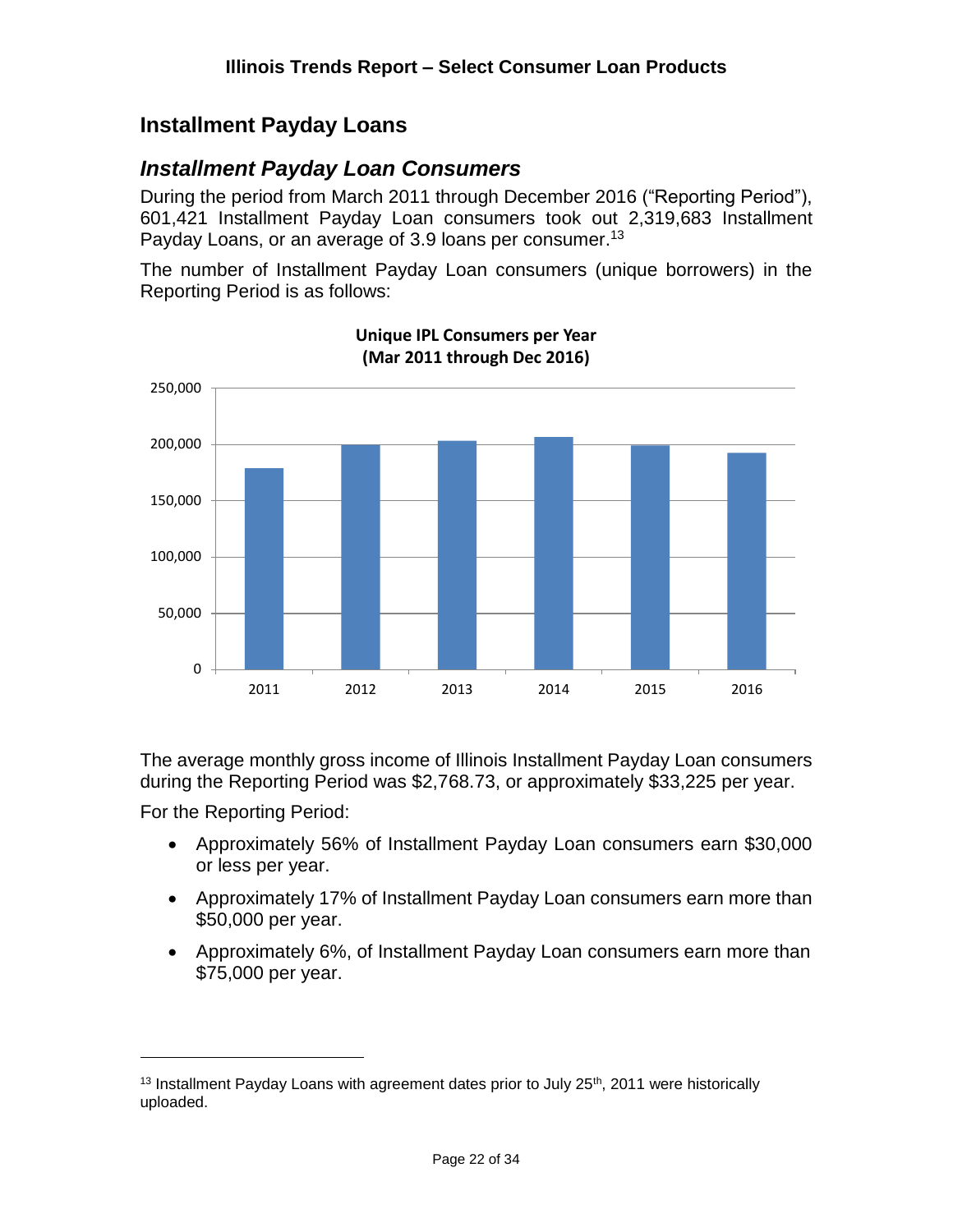### <span id="page-21-0"></span>**Installment Payday Loans**

#### <span id="page-21-1"></span>*Installment Payday Loan Consumers*

During the period from March 2011 through December 2016 ("Reporting Period"), 601,421 Installment Payday Loan consumers took out 2,319,683 Installment Payday Loans, or an average of 3.9 loans per consumer.<sup>13</sup>

The number of Installment Payday Loan consumers (unique borrowers) in the Reporting Period is as follows:



**Unique IPL Consumers per Year (Mar 2011 through Dec 2016)**

The average monthly gross income of Illinois Installment Payday Loan consumers during the Reporting Period was \$2,768.73, or approximately \$33,225 per year.

For the Reporting Period:

- Approximately 56% of Installment Payday Loan consumers earn \$30,000 or less per year.
- Approximately 17% of Installment Payday Loan consumers earn more than \$50,000 per year.
- Approximately 6%, of Installment Payday Loan consumers earn more than \$75,000 per year.

 $13$  Installment Payday Loans with agreement dates prior to July 25<sup>th</sup>, 2011 were historically uploaded.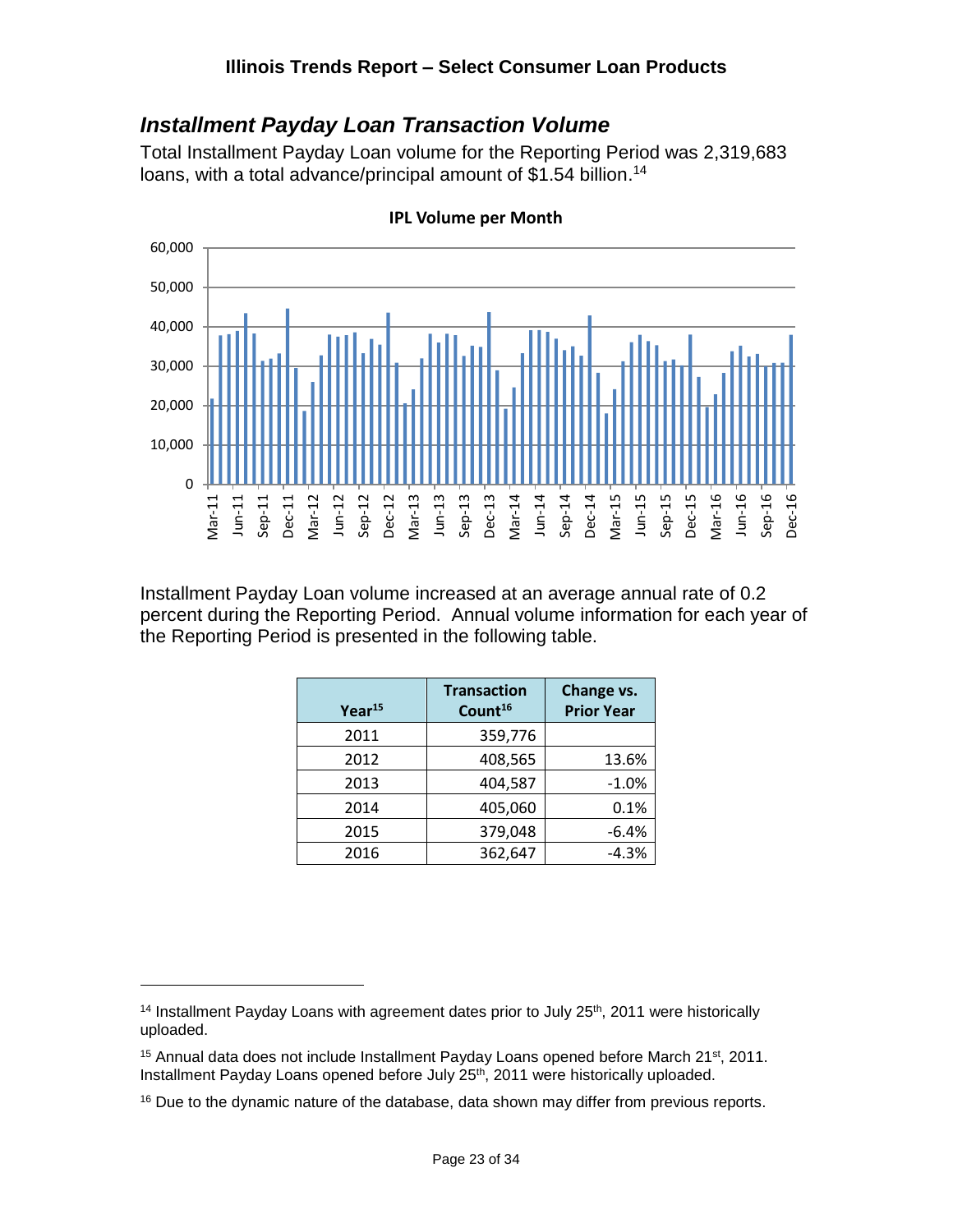#### <span id="page-22-0"></span>*Installment Payday Loan Transaction Volume*

Total Installment Payday Loan volume for the Reporting Period was 2,319,683 loans, with a total advance/principal amount of \$1.54 billion.<sup>14</sup>



**IPL Volume per Month**

Installment Payday Loan volume increased at an average annual rate of 0.2 percent during the Reporting Period. Annual volume information for each year of the Reporting Period is presented in the following table.

| $Year^{15}$ | <b>Transaction</b><br>Count <sup>16</sup> | Change vs.<br><b>Prior Year</b> |
|-------------|-------------------------------------------|---------------------------------|
| 2011        | 359,776                                   |                                 |
| 2012        | 408,565                                   | 13.6%                           |
| 2013        | 404,587                                   | $-1.0%$                         |
| 2014        | 405,060                                   | 0.1%                            |
| 2015        | 379,048                                   | $-6.4%$                         |
| 2016        | 362,647                                   | $-4.3%$                         |

<sup>&</sup>lt;sup>14</sup> Installment Payday Loans with agreement dates prior to July  $25<sup>th</sup>$ , 2011 were historically uploaded.

 $15$  Annual data does not include Installment Payday Loans opened before March 21st, 2011. Installment Payday Loans opened before July 25th, 2011 were historically uploaded.

<sup>&</sup>lt;sup>16</sup> Due to the dynamic nature of the database, data shown may differ from previous reports.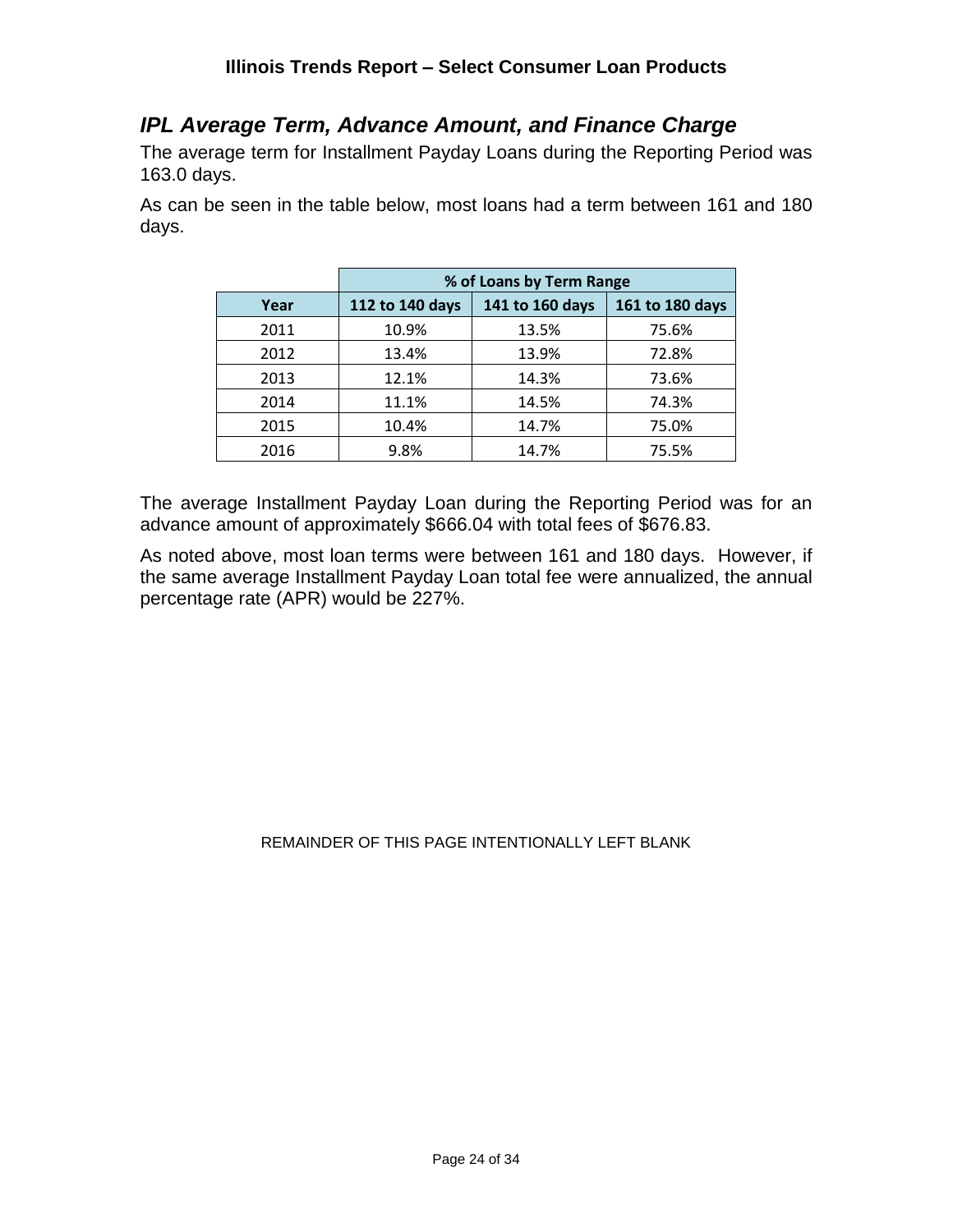#### <span id="page-23-0"></span>*IPL Average Term, Advance Amount, and Finance Charge*

The average term for Installment Payday Loans during the Reporting Period was 163.0 days.

As can be seen in the table below, most loans had a term between 161 and 180 days.

|      | % of Loans by Term Range |                 |                 |  |  |  |
|------|--------------------------|-----------------|-----------------|--|--|--|
| Year | 112 to 140 days          | 141 to 160 days | 161 to 180 days |  |  |  |
| 2011 | 10.9%                    | 13.5%           | 75.6%           |  |  |  |
| 2012 | 13.4%                    | 13.9%           | 72.8%           |  |  |  |
| 2013 | 12.1%                    | 14.3%           | 73.6%           |  |  |  |
| 2014 | 11.1%                    | 14.5%           | 74.3%           |  |  |  |
| 2015 | 10.4%                    | 14.7%           | 75.0%           |  |  |  |
| 2016 | 9.8%                     | 14.7%           | 75.5%           |  |  |  |

The average Installment Payday Loan during the Reporting Period was for an advance amount of approximately \$666.04 with total fees of \$676.83.

As noted above, most loan terms were between 161 and 180 days. However, if the same average Installment Payday Loan total fee were annualized, the annual percentage rate (APR) would be 227%.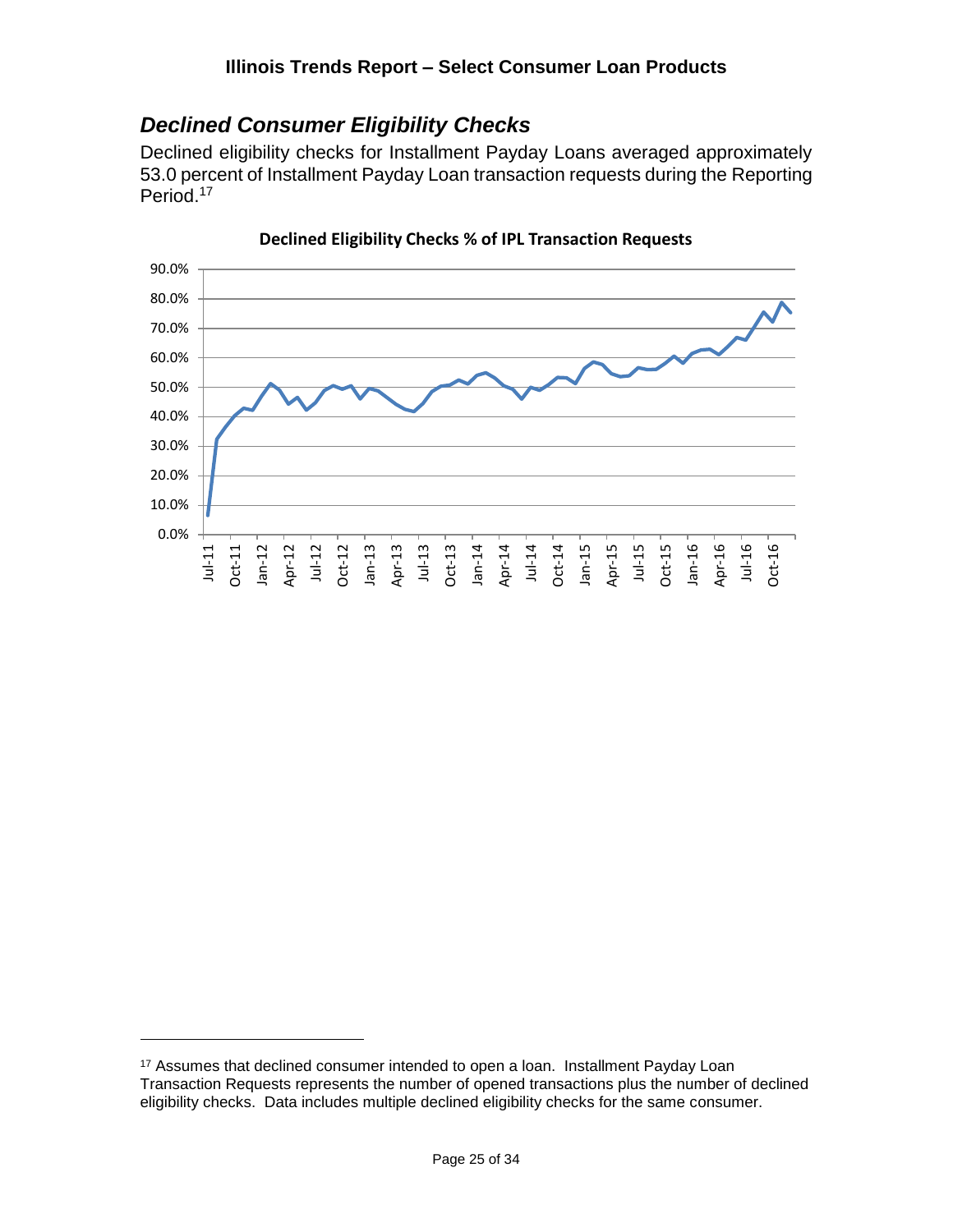### <span id="page-24-0"></span>*Declined Consumer Eligibility Checks*

Declined eligibility checks for Installment Payday Loans averaged approximately 53.0 percent of Installment Payday Loan transaction requests during the Reporting Period. 17



**Declined Eligibility Checks % of IPL Transaction Requests**

<sup>&</sup>lt;sup>17</sup> Assumes that declined consumer intended to open a loan. Installment Payday Loan Transaction Requests represents the number of opened transactions plus the number of declined eligibility checks. Data includes multiple declined eligibility checks for the same consumer.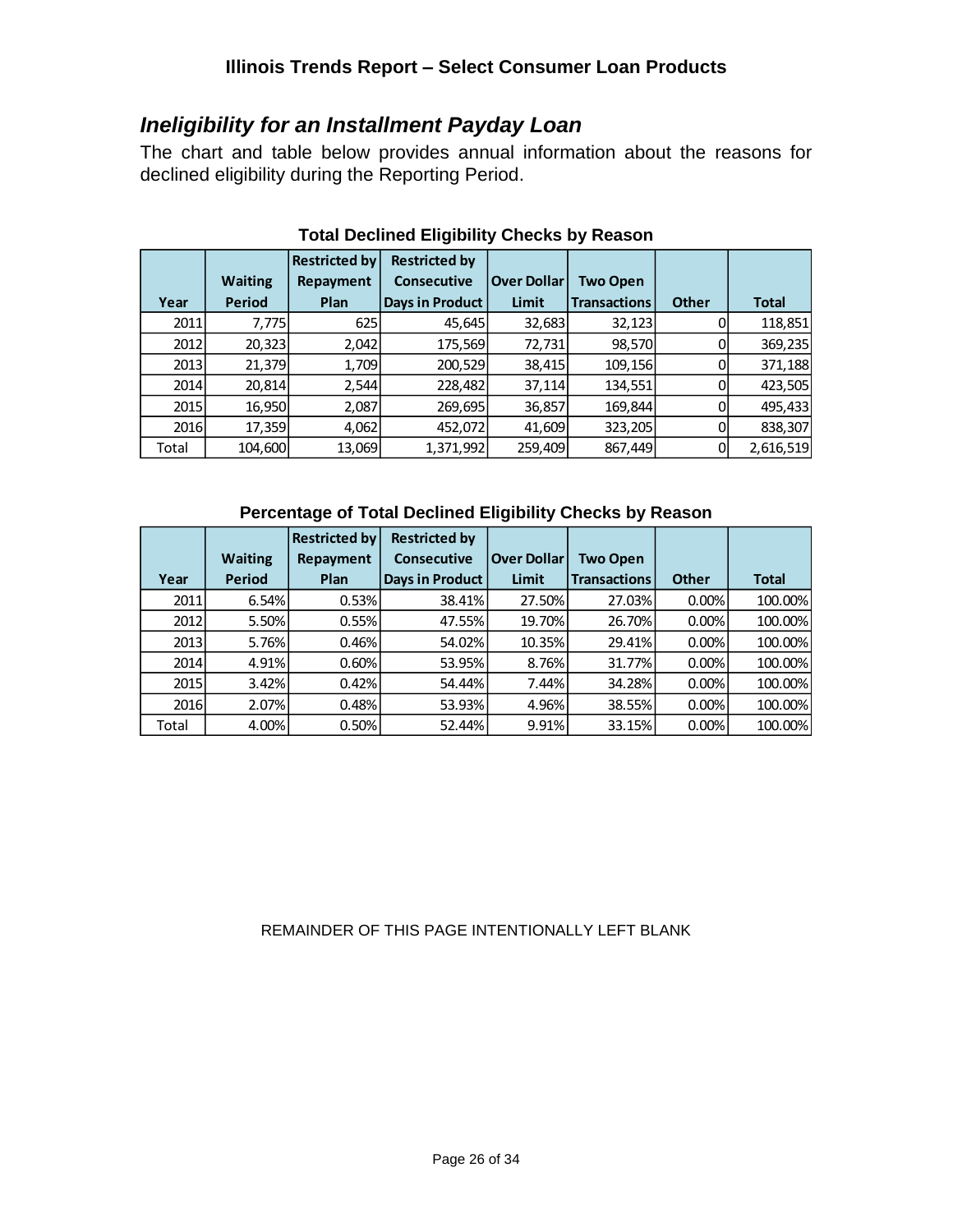#### <span id="page-25-0"></span>*Ineligibility for an Installment Payday Loan*

The chart and table below provides annual information about the reasons for declined eligibility during the Reporting Period.

|       | <b>Waiting</b> | <b>Restricted by</b><br>Repayment | <b>Restricted by</b><br><b>Consecutive</b> | <b>Over Dollar</b> | <b>Two Open</b>     |              |           |
|-------|----------------|-----------------------------------|--------------------------------------------|--------------------|---------------------|--------------|-----------|
| Year  | <b>Period</b>  | Plan                              | <b>Days in Product</b>                     | Limit              | <b>Transactions</b> | <b>Other</b> | Total     |
| 2011  | 7,775          | 625                               | 45,645                                     | 32,683             | 32,123              |              | 118,851   |
| 2012  | 20,323         | 2,042                             | 175,569                                    | 72,731             | 98,570              |              | 369,235   |
| 2013  | 21,379         | 1,709                             | 200,529                                    | 38,415             | 109,156             |              | 371,188   |
| 2014  | 20,814         | 2,544                             | 228,482                                    | 37,114             | 134,551             |              | 423,505   |
| 2015  | 16,950         | 2,087                             | 269,695                                    | 36,857             | 169,844             |              | 495,433   |
| 2016  | 17,359         | 4,062                             | 452,072                                    | 41,609             | 323,205             |              | 838,307   |
| Total | 104,600        | 13,069                            | 1,371,992                                  | 259,409            | 867,449             |              | 2,616,519 |

#### **Total Declined Eligibility Checks by Reason**

#### **Percentage of Total Declined Eligibility Checks by Reason**

|       |                | <b>Restricted by</b> | <b>Restricted by</b>   |                    |                     |              |              |
|-------|----------------|----------------------|------------------------|--------------------|---------------------|--------------|--------------|
|       | <b>Waiting</b> | Repayment            | <b>Consecutive</b>     | <b>Over Dollar</b> | <b>Two Open</b>     |              |              |
| Year  | Period         | Plan                 | <b>Days in Product</b> | <b>Limit</b>       | <b>Transactions</b> | <b>Other</b> | <b>Total</b> |
| 2011  | 6.54%          | 0.53%                | 38.41%                 | 27.50%             | 27.03%              | 0.00%        | 100.00%      |
| 2012  | 5.50%          | 0.55%                | 47.55%                 | 19.70%             | 26.70%              | 0.00%        | 100.00%      |
| 2013  | 5.76%          | 0.46%                | 54.02%                 | 10.35%             | 29.41%              | 0.00%        | 100.00%      |
| 2014  | 4.91%          | 0.60%                | 53.95%                 | 8.76%              | 31.77%              | 0.00%        | 100.00%      |
| 2015  | 3.42%          | 0.42%                | 54.44%                 | 7.44%              | 34.28%              | 0.00%        | 100.00%      |
| 2016  | 2.07%          | 0.48%                | 53.93%                 | 4.96%              | 38.55%              | 0.00%        | 100.00%      |
| Total | 4.00%          | 0.50%                | 52.44%                 | 9.91%              | 33.15%              | 0.00%        | 100.00%      |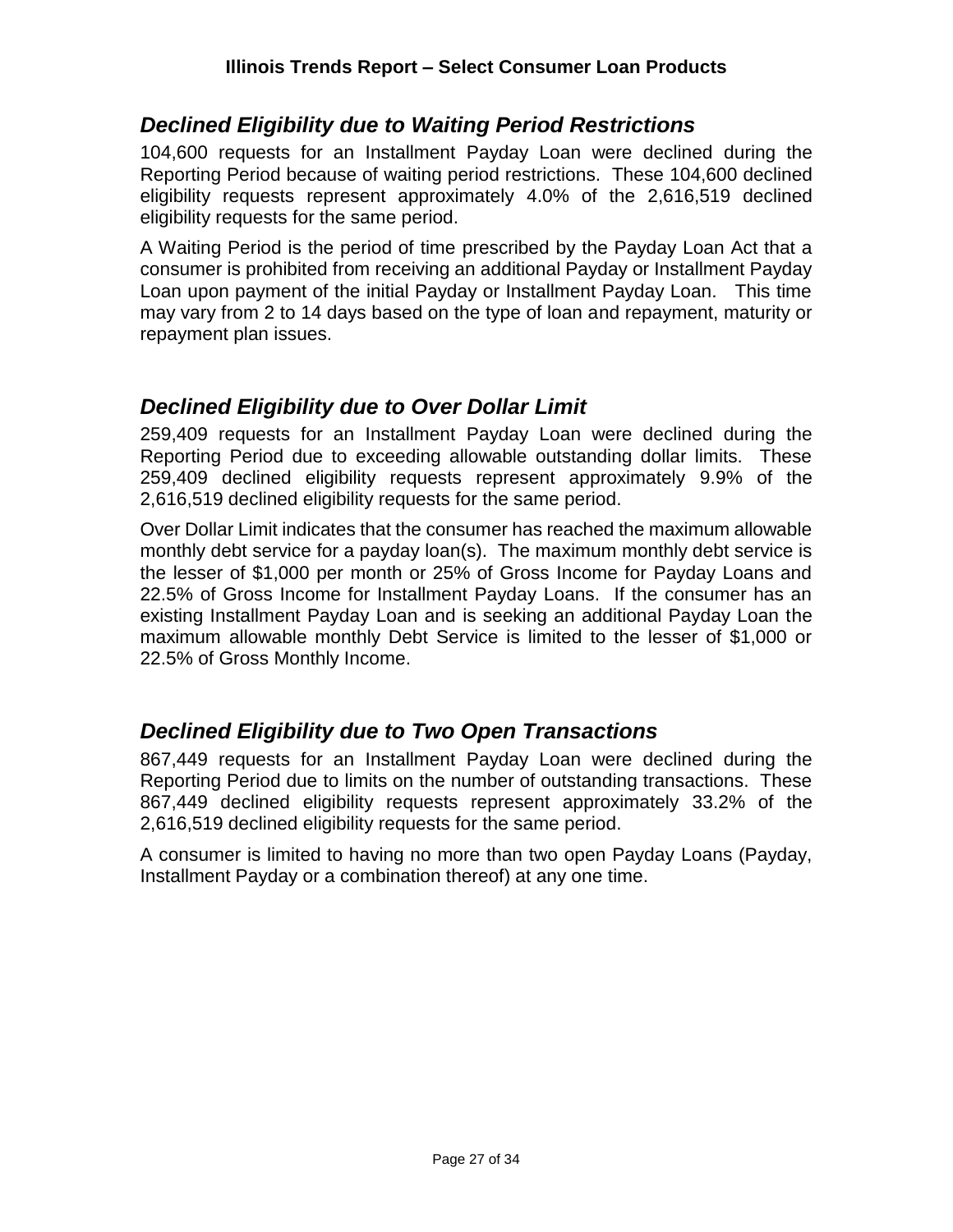#### <span id="page-26-0"></span>*Declined Eligibility due to Waiting Period Restrictions*

104,600 requests for an Installment Payday Loan were declined during the Reporting Period because of waiting period restrictions. These 104,600 declined eligibility requests represent approximately 4.0% of the 2,616,519 declined eligibility requests for the same period.

A Waiting Period is the period of time prescribed by the Payday Loan Act that a consumer is prohibited from receiving an additional Payday or Installment Payday Loan upon payment of the initial Payday or Installment Payday Loan. This time may vary from 2 to 14 days based on the type of loan and repayment, maturity or repayment plan issues.

#### <span id="page-26-1"></span>*Declined Eligibility due to Over Dollar Limit*

259,409 requests for an Installment Payday Loan were declined during the Reporting Period due to exceeding allowable outstanding dollar limits. These 259,409 declined eligibility requests represent approximately 9.9% of the 2,616,519 declined eligibility requests for the same period.

Over Dollar Limit indicates that the consumer has reached the maximum allowable monthly debt service for a payday loan(s). The maximum monthly debt service is the lesser of \$1,000 per month or 25% of Gross Income for Payday Loans and 22.5% of Gross Income for Installment Payday Loans. If the consumer has an existing Installment Payday Loan and is seeking an additional Payday Loan the maximum allowable monthly Debt Service is limited to the lesser of \$1,000 or 22.5% of Gross Monthly Income.

# <span id="page-26-2"></span>*Declined Eligibility due to Two Open Transactions*

867,449 requests for an Installment Payday Loan were declined during the Reporting Period due to limits on the number of outstanding transactions. These 867,449 declined eligibility requests represent approximately 33.2% of the 2,616,519 declined eligibility requests for the same period.

A consumer is limited to having no more than two open Payday Loans (Payday, Installment Payday or a combination thereof) at any one time.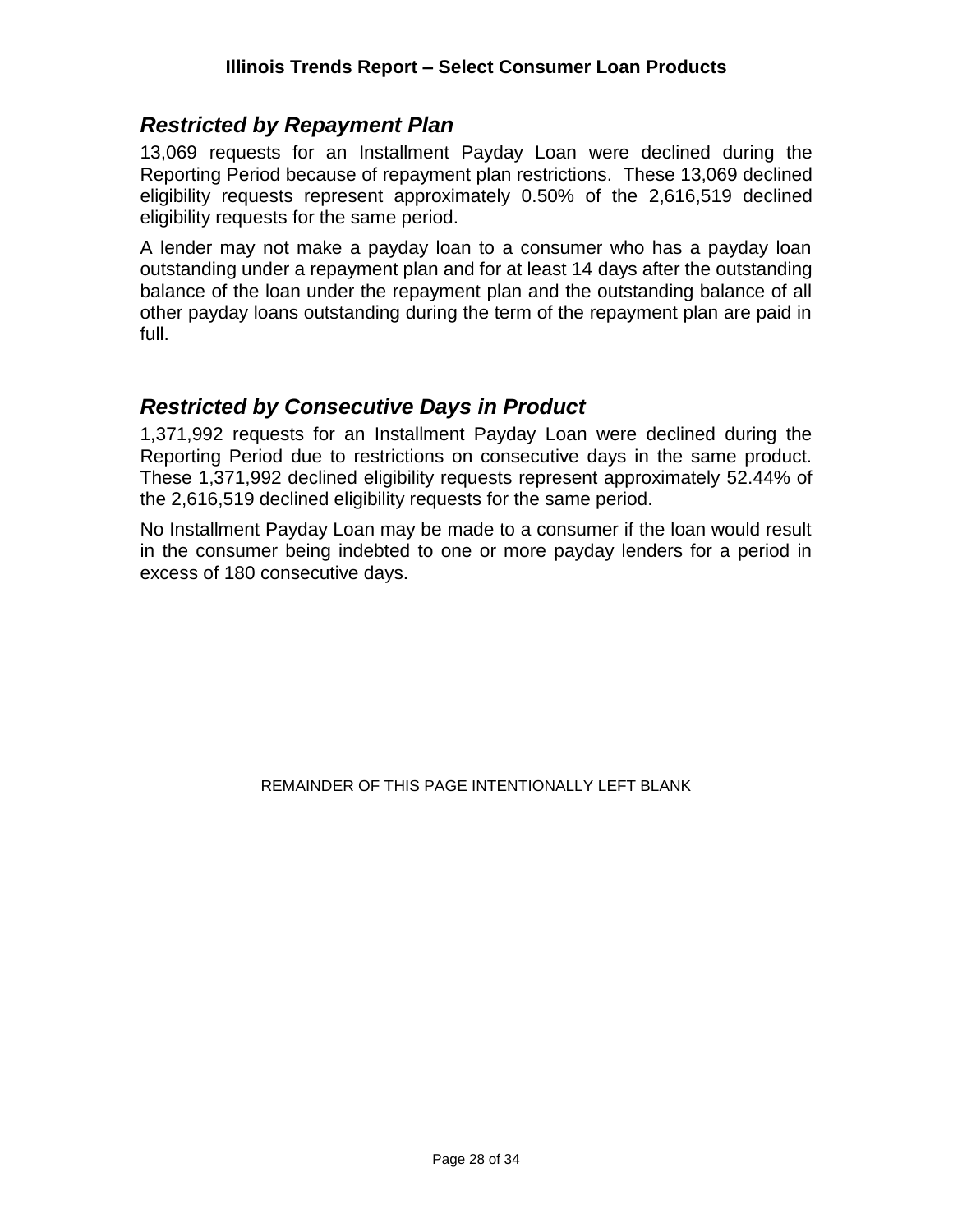#### <span id="page-27-0"></span>*Restricted by Repayment Plan*

13,069 requests for an Installment Payday Loan were declined during the Reporting Period because of repayment plan restrictions. These 13,069 declined eligibility requests represent approximately 0.50% of the 2,616,519 declined eligibility requests for the same period.

A lender may not make a payday loan to a consumer who has a payday loan outstanding under a repayment plan and for at least 14 days after the outstanding balance of the loan under the repayment plan and the outstanding balance of all other payday loans outstanding during the term of the repayment plan are paid in full.

#### <span id="page-27-1"></span>*Restricted by Consecutive Days in Product*

1,371,992 requests for an Installment Payday Loan were declined during the Reporting Period due to restrictions on consecutive days in the same product. These 1,371,992 declined eligibility requests represent approximately 52.44% of the 2,616,519 declined eligibility requests for the same period.

No Installment Payday Loan may be made to a consumer if the loan would result in the consumer being indebted to one or more payday lenders for a period in excess of 180 consecutive days.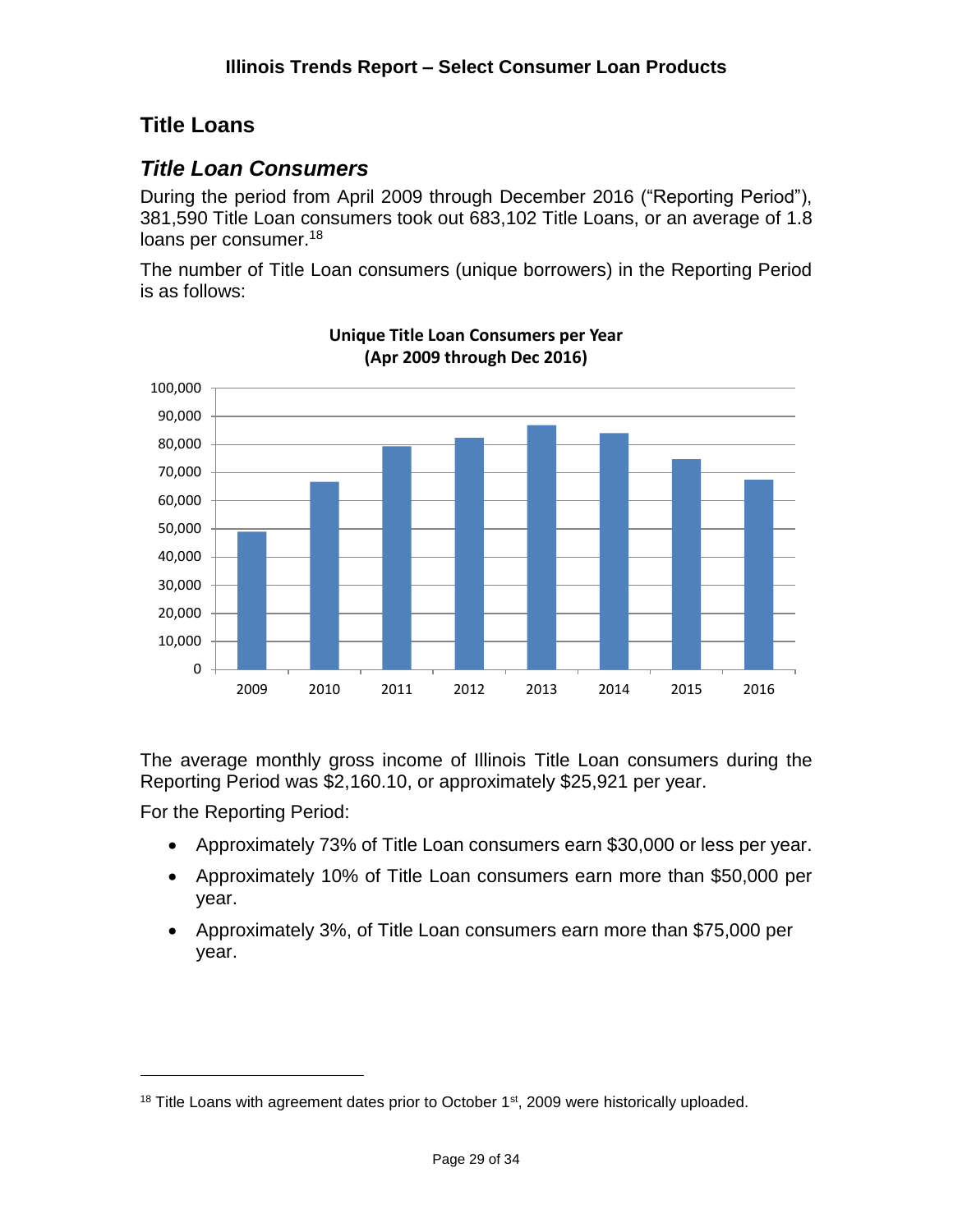### <span id="page-28-0"></span>**Title Loans**

#### <span id="page-28-1"></span>*Title Loan Consumers*

During the period from April 2009 through December 2016 ("Reporting Period"), 381,590 Title Loan consumers took out 683,102 Title Loans, or an average of 1.8 loans per consumer.<sup>18</sup>

The number of Title Loan consumers (unique borrowers) in the Reporting Period is as follows:



**Unique Title Loan Consumers per Year (Apr 2009 through Dec 2016)**

The average monthly gross income of Illinois Title Loan consumers during the Reporting Period was \$2,160.10, or approximately \$25,921 per year.

For the Reporting Period:

- Approximately 73% of Title Loan consumers earn \$30,000 or less per year.
- Approximately 10% of Title Loan consumers earn more than \$50,000 per year.
- Approximately 3%, of Title Loan consumers earn more than \$75,000 per year.

 $18$  Title Loans with agreement dates prior to October  $1<sup>st</sup>$ , 2009 were historically uploaded.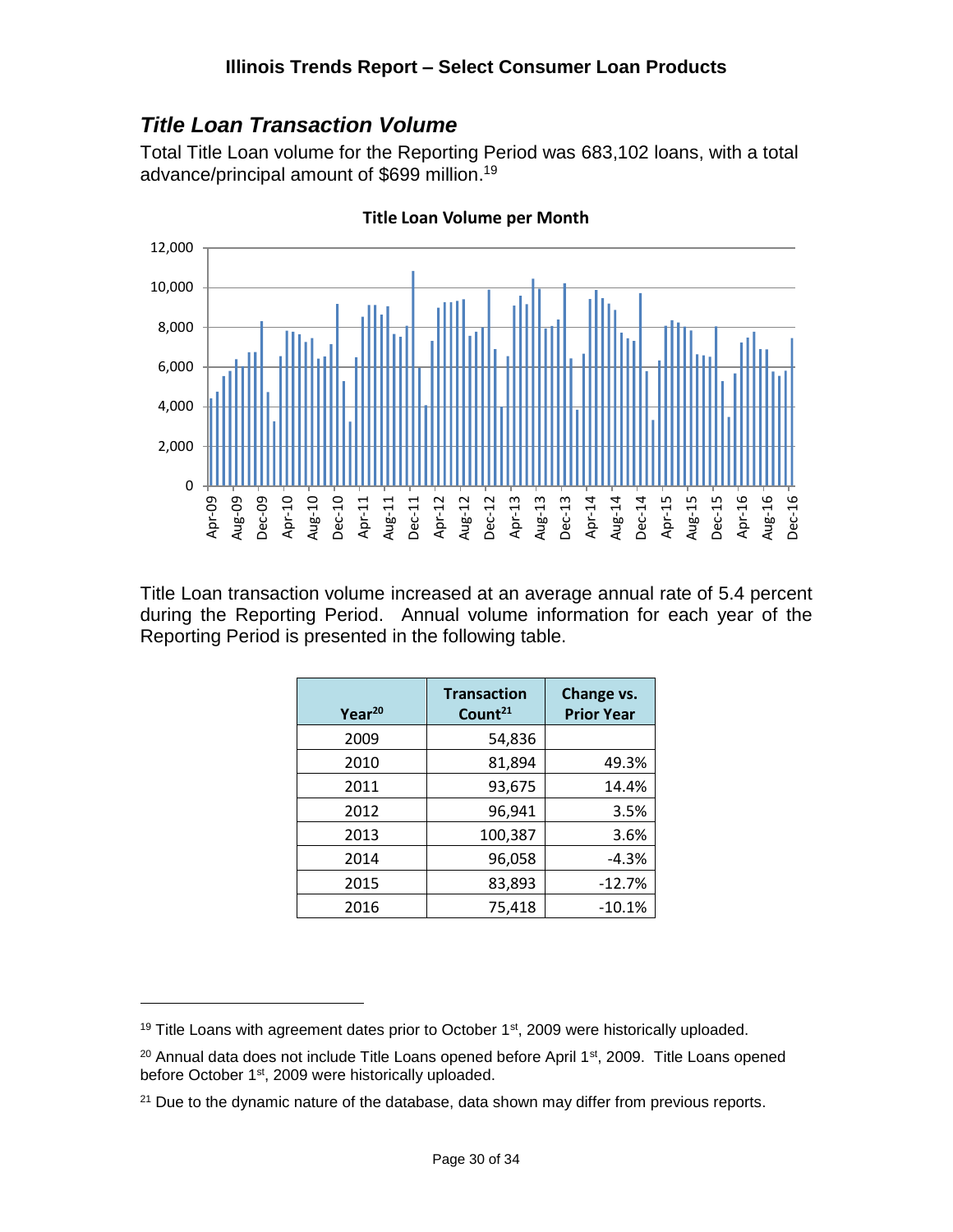#### <span id="page-29-0"></span>*Title Loan Transaction Volume*

Total Title Loan volume for the Reporting Period was 683,102 loans, with a total advance/principal amount of \$699 million. 19



**Title Loan Volume per Month**

Title Loan transaction volume increased at an average annual rate of 5.4 percent during the Reporting Period. Annual volume information for each year of the Reporting Period is presented in the following table.

| Year <sup>20</sup> | <b>Transaction</b><br>Count <sup>21</sup> | Change vs.<br><b>Prior Year</b> |
|--------------------|-------------------------------------------|---------------------------------|
| 2009               | 54,836                                    |                                 |
| 2010               | 81,894                                    | 49.3%                           |
| 2011               | 93,675                                    | 14.4%                           |
| 2012               | 96,941                                    | 3.5%                            |
| 2013               | 100,387                                   | 3.6%                            |
| 2014               | 96,058                                    | $-4.3%$                         |
| 2015               | 83,893                                    | $-12.7%$                        |
| 2016               | 75,418                                    | $-10.1%$                        |

 $19$  Title Loans with agreement dates prior to October  $1<sup>st</sup>$ , 2009 were historically uploaded.

<sup>&</sup>lt;sup>20</sup> Annual data does not include Title Loans opened before April 1<sup>st</sup>, 2009. Title Loans opened before October 1st, 2009 were historically uploaded.

<sup>&</sup>lt;sup>21</sup> Due to the dynamic nature of the database, data shown may differ from previous reports.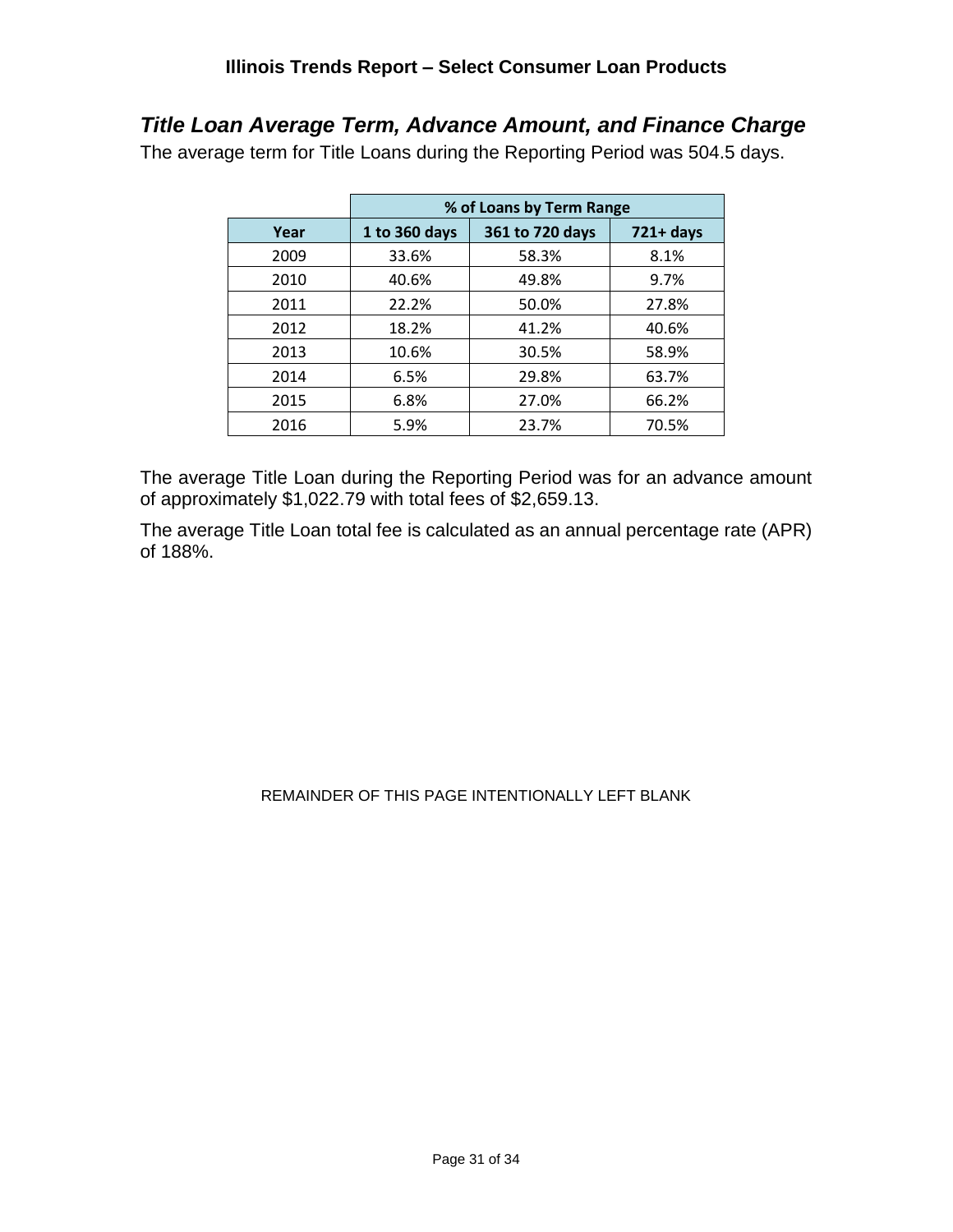# <span id="page-30-0"></span>*Title Loan Average Term, Advance Amount, and Finance Charge*

The average term for Title Loans during the Reporting Period was 504.5 days.

|      | % of Loans by Term Range |                 |              |  |  |
|------|--------------------------|-----------------|--------------|--|--|
| Year | 1 to 360 days            | 361 to 720 days | $721 + days$ |  |  |
| 2009 | 33.6%                    | 58.3%           | 8.1%         |  |  |
| 2010 | 40.6%                    | 49.8%           | 9.7%         |  |  |
| 2011 | 22.2%                    | 50.0%           | 27.8%        |  |  |
| 2012 | 18.2%                    | 41.2%           | 40.6%        |  |  |
| 2013 | 10.6%                    | 30.5%           | 58.9%        |  |  |
| 2014 | 6.5%                     | 29.8%           | 63.7%        |  |  |
| 2015 | 6.8%                     | 27.0%           | 66.2%        |  |  |
| 2016 | 5.9%                     | 23.7%           | 70.5%        |  |  |

The average Title Loan during the Reporting Period was for an advance amount of approximately \$1,022.79 with total fees of \$2,659.13.

The average Title Loan total fee is calculated as an annual percentage rate (APR) of 188%.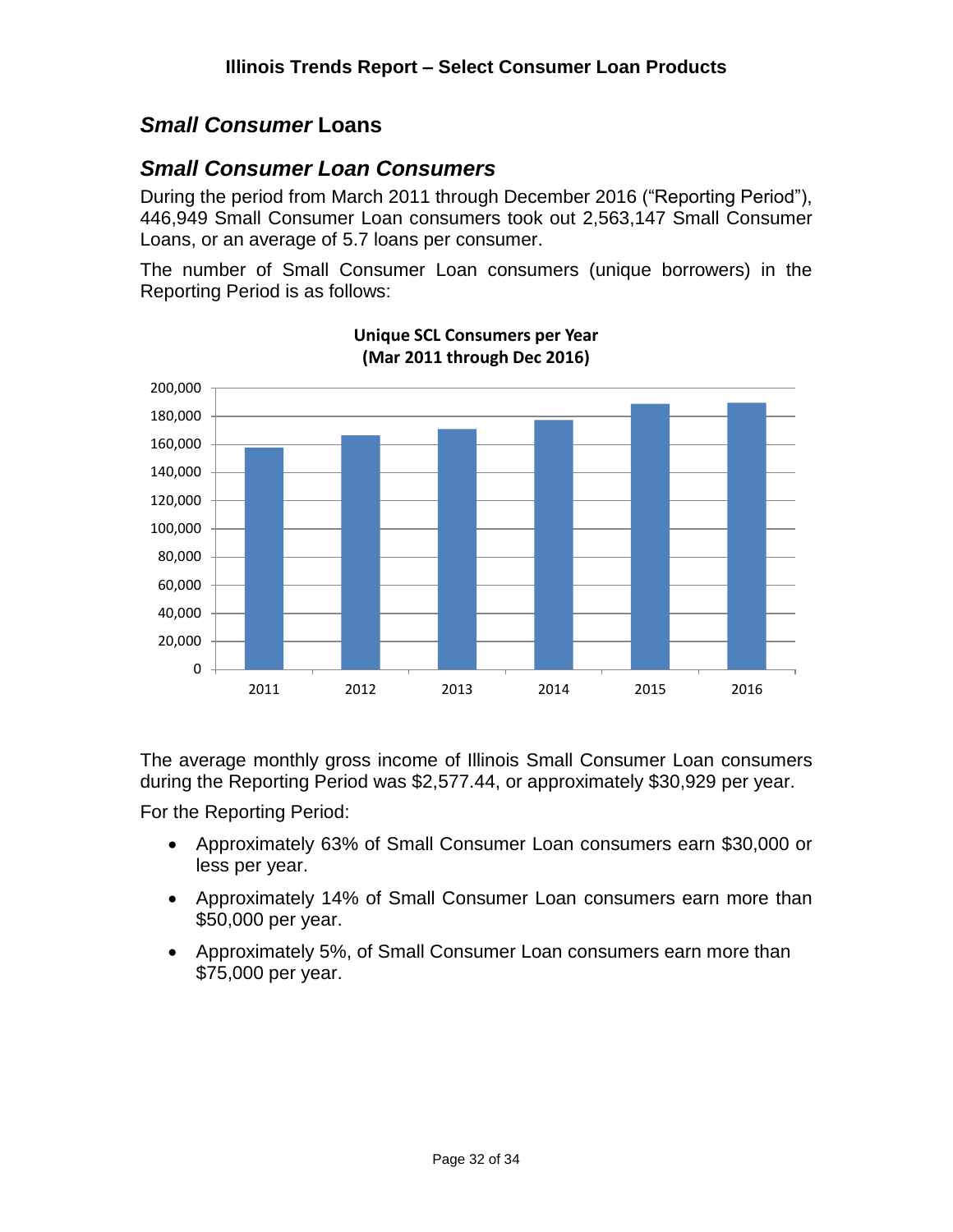#### <span id="page-31-0"></span>*Small Consumer* **Loans**

#### <span id="page-31-1"></span>*Small Consumer Loan Consumers*

During the period from March 2011 through December 2016 ("Reporting Period"), 446,949 Small Consumer Loan consumers took out 2,563,147 Small Consumer Loans, or an average of 5.7 loans per consumer.

The number of Small Consumer Loan consumers (unique borrowers) in the Reporting Period is as follows:



**Unique SCL Consumers per Year (Mar 2011 through Dec 2016)**

The average monthly gross income of Illinois Small Consumer Loan consumers during the Reporting Period was \$2,577.44, or approximately \$30,929 per year.

For the Reporting Period:

- Approximately 63% of Small Consumer Loan consumers earn \$30,000 or less per year.
- Approximately 14% of Small Consumer Loan consumers earn more than \$50,000 per year.
- Approximately 5%, of Small Consumer Loan consumers earn more than \$75,000 per year.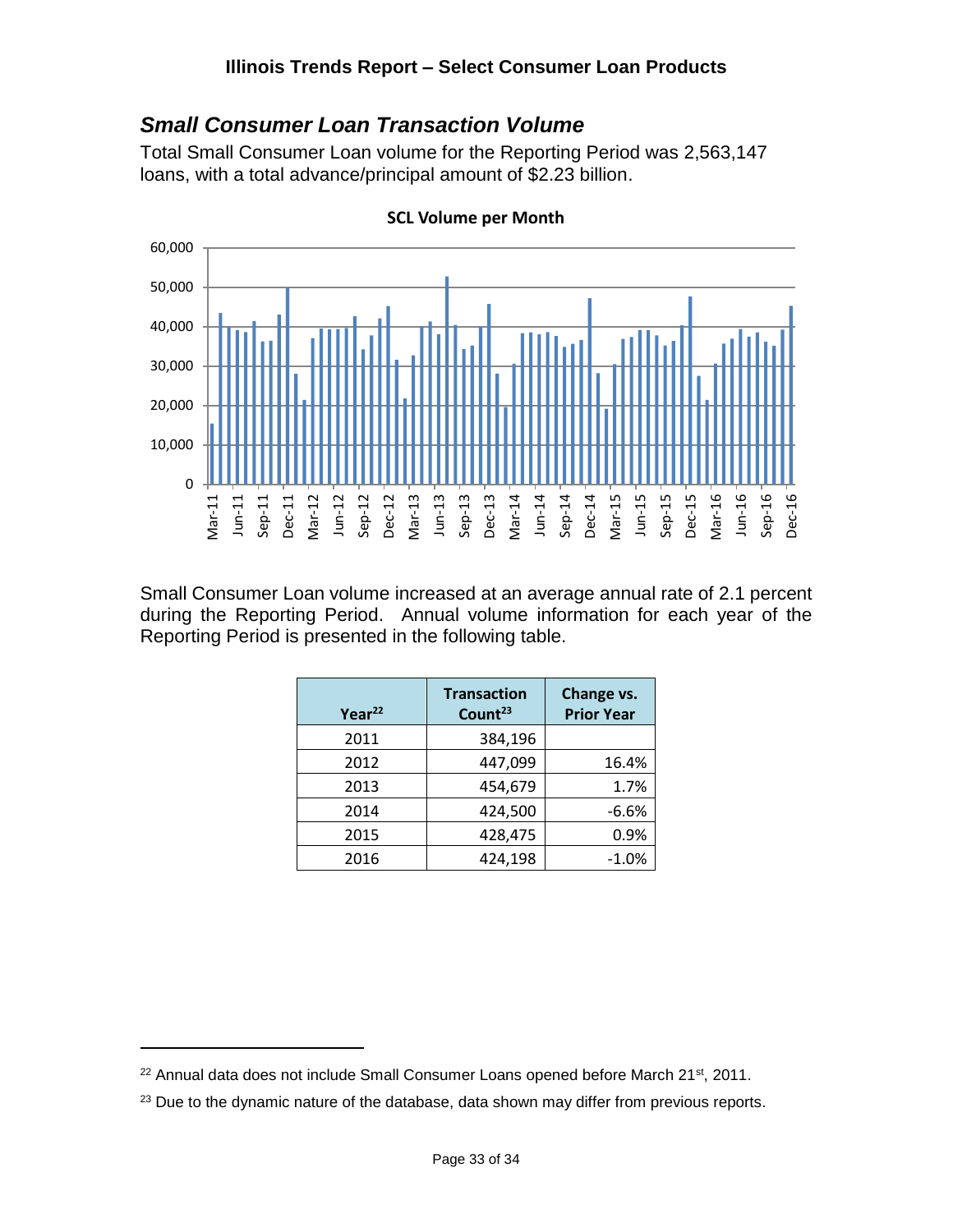#### <span id="page-32-0"></span>*Small Consumer Loan Transaction Volume*

Total Small Consumer Loan volume for the Reporting Period was 2,563,147 loans, with a total advance/principal amount of \$2.23 billion.



**SCL Volume per Month**

Small Consumer Loan volume increased at an average annual rate of 2.1 percent during the Reporting Period. Annual volume information for each year of the Reporting Period is presented in the following table.

| Year <sup>22</sup> | <b>Transaction</b><br>Count <sup>23</sup> | Change vs.<br><b>Prior Year</b> |  |
|--------------------|-------------------------------------------|---------------------------------|--|
| 2011               | 384,196                                   |                                 |  |
| 2012               | 447,099                                   | 16.4%                           |  |
| 2013               | 454,679                                   | 1.7%                            |  |
| 2014               | 424,500                                   | $-6.6%$                         |  |
| 2015               | 428,475                                   | 0.9%                            |  |
| 2016               | 424,198                                   | $-1.0%$                         |  |

 $22$  Annual data does not include Small Consumer Loans opened before March 21st, 2011.

<sup>&</sup>lt;sup>23</sup> Due to the dynamic nature of the database, data shown may differ from previous reports.